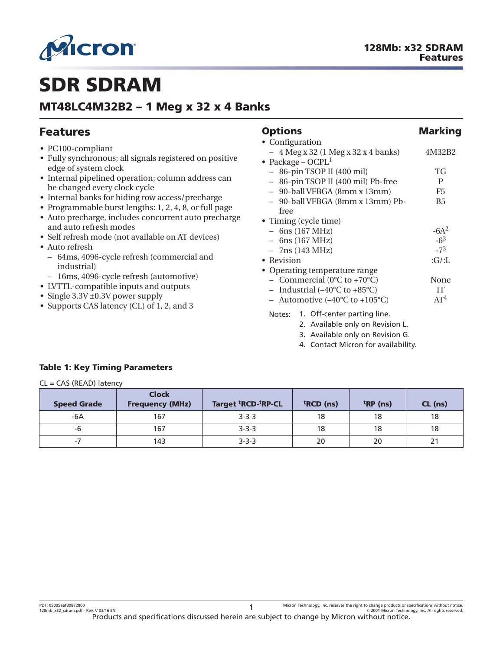<span id="page-0-0"></span>

# **SDR SDRAM**

### **MT48LC4M32B2 – 1 Meg x 32 x 4 Banks**

#### **Features** • PC100-compliant • Fully synchronous; all signals registered on positive edge of system clock • Internal pipelined operation; column address can be changed every clock cycle • Internal banks for hiding row access/precharge • Programmable burst lengths: 1, 2, 4, 8, or full page • Auto precharge, includes concurrent auto precharge and auto refresh modes • Self refresh mode (not available on AT devices) • Auto refresh – 64ms, 4096-cycle refresh (commercial and industrial) – 16ms, 4096-cycle refresh (automotive) • LVTTL-compatible inputs and outputs • Single 3.3V ±0.3V power supply • Supports CAS latency (CL) of 1, 2, and 3 **Options** Marking • Configuration – 4 Meg x 32 (1 Meg x 32 x 4 banks) 4M32B2 • Package –  $OCPL<sup>1</sup>$ – 86-pin TSOP II (400 mil) TG – 86-pin TSOP II (400 mil) Pb-free P – 90-ball VFBGA (8mm x 13mm) F5 – 90-ball VFBGA (8mm x 13mm) Pbfree B5 • Timing (cycle time)<br>- 6ns (167 MHz)<br>-6A<sup>2</sup>  $-6ns$  (167 MHz) – 6ns (167 MHz)<br>
– 7ns (143 MHz)<br>
– 7<sup>3</sup>  $-7ns$  (143 MHz) • Revision :G/:L • Operating temperature range – Commercial (0°C to +70°C) None – Industrial  $(-40^{\circ}C \text{ to } +85^{\circ}C)$  IT – Automotive  $(-40^{\circ}C \text{ to } +105^{\circ}C)$  AT<sup>4</sup> Notes: 1. Off-center parting line. 2. Available only on Revision L. 3. Available only on Revision G. 4. Contact Micron for availability.

### **Table 1: Key Timing Parameters**

| $CL = CAS (READ)$ latency |                                        |                                             |                       |                      |         |
|---------------------------|----------------------------------------|---------------------------------------------|-----------------------|----------------------|---------|
| <b>Speed Grade</b>        | <b>Clock</b><br><b>Frequency (MHz)</b> | Target <sup>t</sup> RCD- <sup>t</sup> RP-CL | <sup>t</sup> RCD (ns) | <sup>t</sup> RP (ns) | CL (ns) |
| -6A                       | 167                                    | $3 - 3 - 3$                                 | 18                    | 18                   | 18      |
| -6                        | 167                                    | $3 - 3 - 3$                                 | 18                    | 18                   | 18      |
| $-7$                      | 143                                    | $3 - 3 - 3$                                 | 20                    | 20                   | 21      |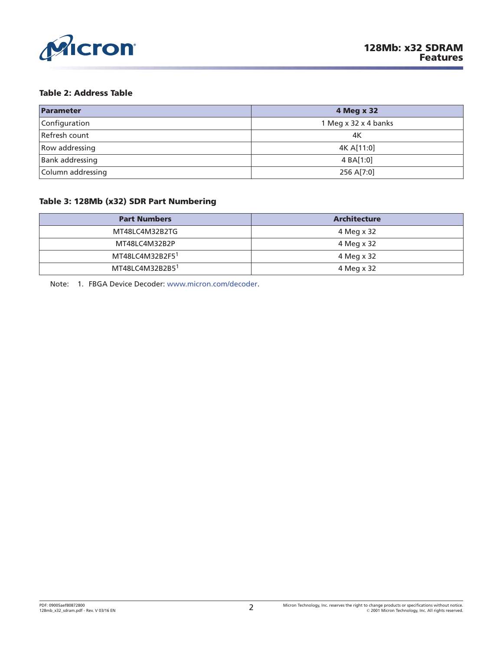<span id="page-1-0"></span>

#### **Table 2: Address Table**

| Parameter              | 4 Meg x 32           |
|------------------------|----------------------|
| Configuration          | 1 Meg x 32 x 4 banks |
| Refresh count          | 4K                   |
| Row addressing         | 4K A[11:0]           |
| <b>Bank addressing</b> | 4 BA[1:0]            |
| Column addressing      | 256 A[7:0]           |

#### **Table 3: 128Mb (x32) SDR Part Numbering**

| <b>Part Numbers</b>         | <b>Architecture</b> |
|-----------------------------|---------------------|
| MT48LC4M32B2TG              | 4 Meg x 32          |
| MT48LC4M32B2P               | 4 Meg x 32          |
| MT48LC4M32B2F5 <sup>1</sup> | 4 Meg x 32          |
| MT48LC4M32B2B5 <sup>1</sup> | 4 Meg x 32          |

Note: 1. FBGA Device Decoder: [www.micron.com/decoder.](http://www.micron.com/decoder)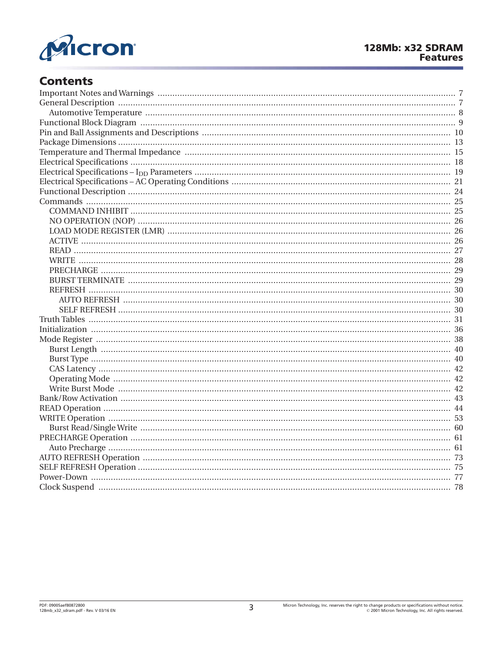

### **Contents**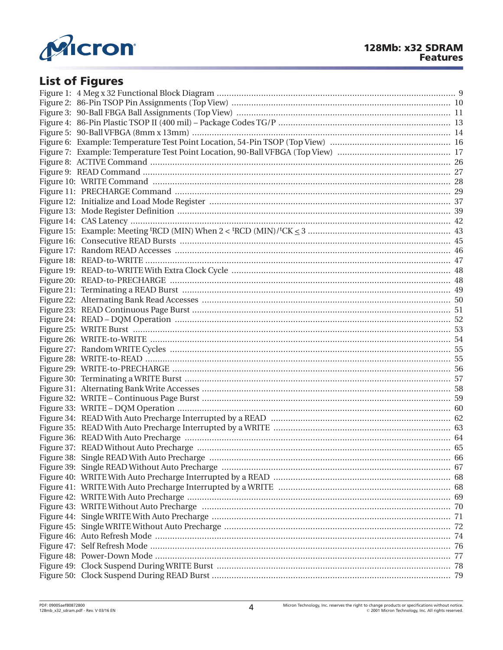

## **List of Figures**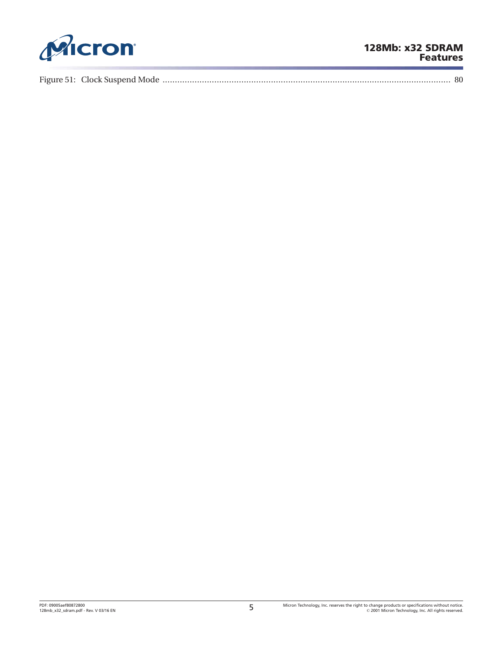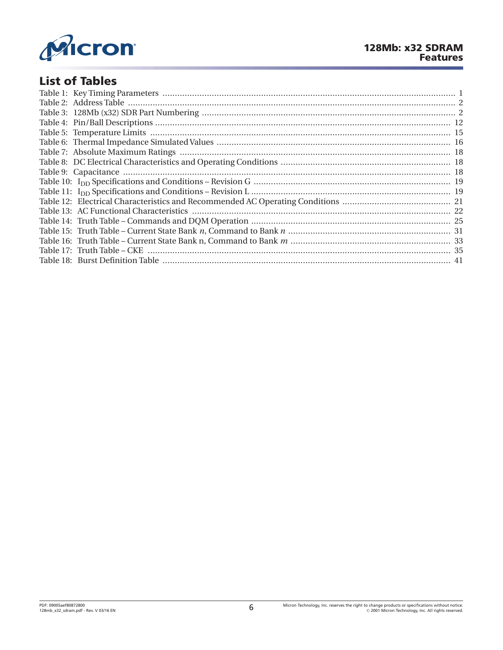

### **List of Tables**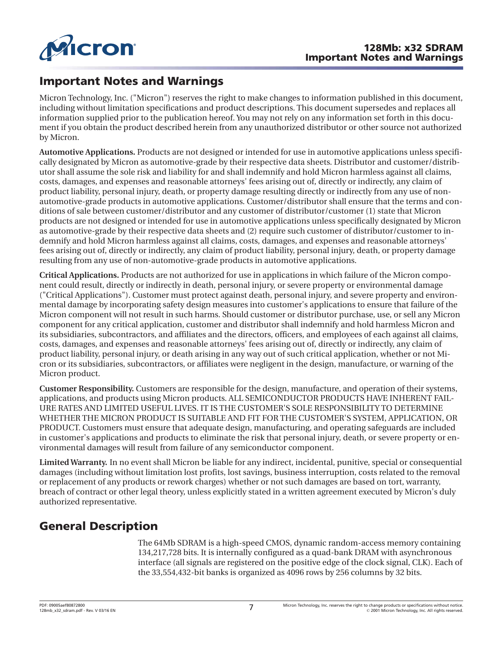<span id="page-6-0"></span>

### **Important Notes and Warnings**

Micron Technology, Inc. ("Micron") reserves the right to make changes to information published in this document, including without limitation specifications and product descriptions. This document supersedes and replaces all information supplied prior to the publication hereof. You may not rely on any information set forth in this document if you obtain the product described herein from any unauthorized distributor or other source not authorized by Micron.

**Automotive Applications.** Products are not designed or intended for use in automotive applications unless specifically designated by Micron as automotive-grade by their respective data sheets. Distributor and customer/distributor shall assume the sole risk and liability for and shall indemnify and hold Micron harmless against all claims, costs, damages, and expenses and reasonable attorneys' fees arising out of, directly or indirectly, any claim of product liability, personal injury, death, or property damage resulting directly or indirectly from any use of nonautomotive-grade products in automotive applications. Customer/distributor shall ensure that the terms and conditions of sale between customer/distributor and any customer of distributor/customer (1) state that Micron products are not designed or intended for use in automotive applications unless specifically designated by Micron as automotive-grade by their respective data sheets and (2) require such customer of distributor/customer to indemnify and hold Micron harmless against all claims, costs, damages, and expenses and reasonable attorneys' fees arising out of, directly or indirectly, any claim of product liability, personal injury, death, or property damage resulting from any use of non-automotive-grade products in automotive applications.

**Critical Applications.** Products are not authorized for use in applications in which failure of the Micron component could result, directly or indirectly in death, personal injury, or severe property or environmental damage ("Critical Applications"). Customer must protect against death, personal injury, and severe property and environmental damage by incorporating safety design measures into customer's applications to ensure that failure of the Micron component will not result in such harms. Should customer or distributor purchase, use, or sell any Micron component for any critical application, customer and distributor shall indemnify and hold harmless Micron and its subsidiaries, subcontractors, and affiliates and the directors, officers, and employees of each against all claims, costs, damages, and expenses and reasonable attorneys' fees arising out of, directly or indirectly, any claim of product liability, personal injury, or death arising in any way out of such critical application, whether or not Micron or its subsidiaries, subcontractors, or affiliates were negligent in the design, manufacture, or warning of the Micron product.

**Customer Responsibility.** Customers are responsible for the design, manufacture, and operation of their systems, applications, and products using Micron products. ALL SEMICONDUCTOR PRODUCTS HAVE INHERENT FAIL-URE RATES AND LIMITED USEFUL LIVES. IT IS THE CUSTOMER'S SOLE RESPONSIBILITY TO DETERMINE WHETHER THE MICRON PRODUCT IS SUITABLE AND FIT FOR THE CUSTOMER'S SYSTEM, APPLICATION, OR PRODUCT. Customers must ensure that adequate design, manufacturing, and operating safeguards are included in customer's applications and products to eliminate the risk that personal injury, death, or severe property or environmental damages will result from failure of any semiconductor component.

**Limited Warranty.** In no event shall Micron be liable for any indirect, incidental, punitive, special or consequential damages (including without limitation lost profits, lost savings, business interruption, costs related to the removal or replacement of any products or rework charges) whether or not such damages are based on tort, warranty, breach of contract or other legal theory, unless explicitly stated in a written agreement executed by Micron's duly authorized representative.

### **General Description**

The 64Mb SDRAM is a high-speed CMOS, dynamic random-access memory containing 134,217,728 bits. It is internally configured as a quad-bank DRAM with asynchronous interface (all signals are registered on the positive edge of the clock signal, CLK). Each of the 33,554,432-bit banks is organized as 4096 rows by 256 columns by 32 bits.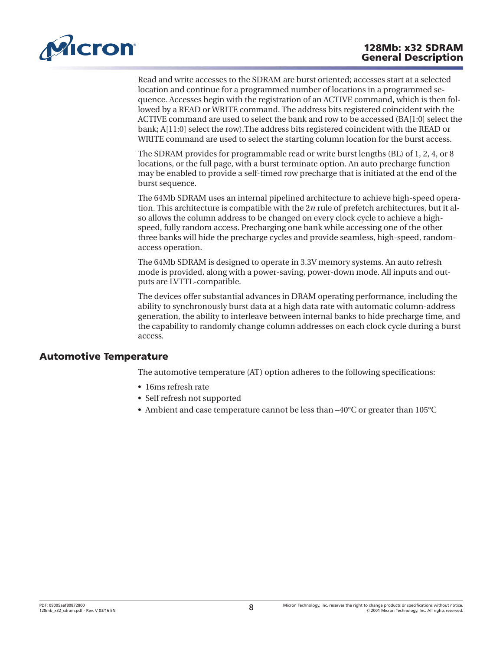<span id="page-7-0"></span>

Read and write accesses to the SDRAM are burst oriented; accesses start at a selected location and continue for a programmed number of locations in a programmed sequence. Accesses begin with the registration of an ACTIVE command, which is then followed by a READ or WRITE command. The address bits registered coincident with the ACTIVE command are used to select the bank and row to be accessed (BA[1:0] select the bank; A[11:0] select the row).The address bits registered coincident with the READ or WRITE command are used to select the starting column location for the burst access.

The SDRAM provides for programmable read or write burst lengths (BL) of 1, 2, 4, or 8 locations, or the full page, with a burst terminate option. An auto precharge function may be enabled to provide a self-timed row precharge that is initiated at the end of the burst sequence.

The 64Mb SDRAM uses an internal pipelined architecture to achieve high-speed operation. This architecture is compatible with the 2*n* rule of prefetch architectures, but it also allows the column address to be changed on every clock cycle to achieve a highspeed, fully random access. Precharging one bank while accessing one of the other three banks will hide the precharge cycles and provide seamless, high-speed, randomaccess operation.

The 64Mb SDRAM is designed to operate in 3.3V memory systems. An auto refresh mode is provided, along with a power-saving, power-down mode. All inputs and outputs are LVTTL-compatible.

The devices offer substantial advances in DRAM operating performance, including the ability to synchronously burst data at a high data rate with automatic column-address generation, the ability to interleave between internal banks to hide precharge time, and the capability to randomly change column addresses on each clock cycle during a burst access.

### **Automotive Temperature**

The automotive temperature (AT) option adheres to the following specifications:

- 16ms refresh rate
- Self refresh not supported
- Ambient and case temperature cannot be less than –40°C or greater than 105°C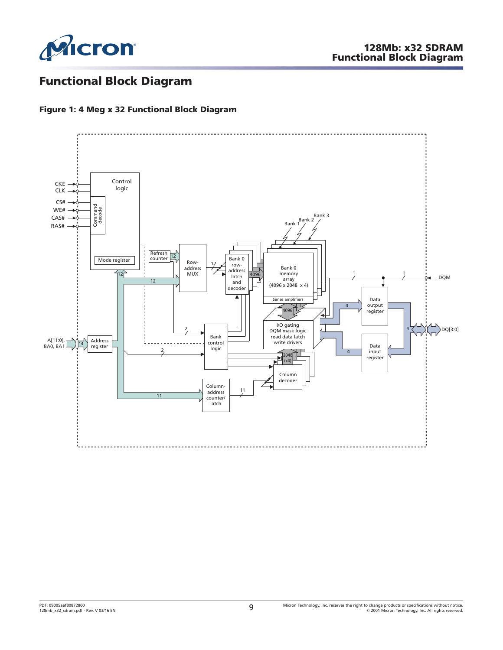<span id="page-8-0"></span>

### **Functional Block Diagram**

### **Figure 1: 4 Meg x 32 Functional Block Diagram**

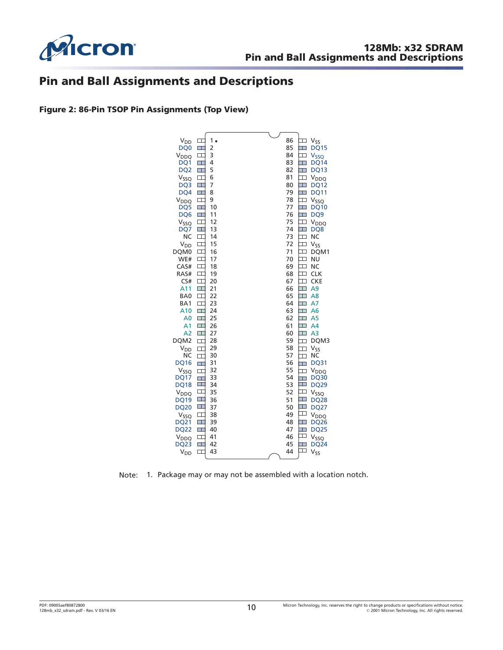<span id="page-9-0"></span>

### **Pin and Ball Assignments and Descriptions**

**Figure 2: 86-Pin TSOP Pin Assignments (Top View)**



Note: 1. Package may or may not be assembled with a location notch.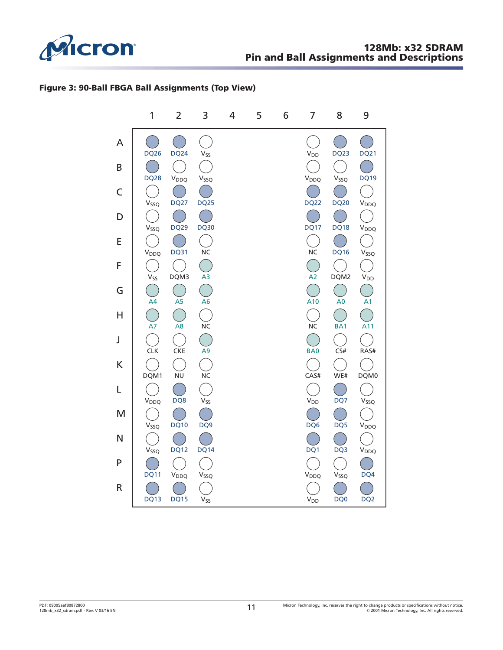<span id="page-10-0"></span>

### **Figure 3: 90-Ball FBGA Ball Assignments (Top View)**

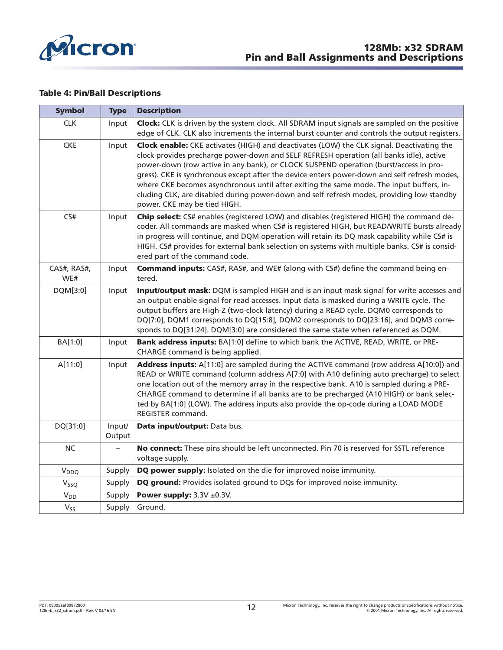<span id="page-11-0"></span>

#### **Table 4: Pin/Ball Descriptions**

| <b>Symbol</b>      | <b>Type</b>      | <b>Description</b>                                                                                                                                                                                                                                                                                                                                                                                                                                                                                                                                                                                     |
|--------------------|------------------|--------------------------------------------------------------------------------------------------------------------------------------------------------------------------------------------------------------------------------------------------------------------------------------------------------------------------------------------------------------------------------------------------------------------------------------------------------------------------------------------------------------------------------------------------------------------------------------------------------|
| <b>CLK</b>         | Input            | Clock: CLK is driven by the system clock. All SDRAM input signals are sampled on the positive<br>edge of CLK. CLK also increments the internal burst counter and controls the output registers.                                                                                                                                                                                                                                                                                                                                                                                                        |
| <b>CKE</b>         | Input            | Clock enable: CKE activates (HIGH) and deactivates (LOW) the CLK signal. Deactivating the<br>clock provides precharge power-down and SELF REFRESH operation (all banks idle), active<br>power-down (row active in any bank), or CLOCK SUSPEND operation (burst/access in pro-<br>gress). CKE is synchronous except after the device enters power-down and self refresh modes,<br>where CKE becomes asynchronous until after exiting the same mode. The input buffers, in-<br>cluding CLK, are disabled during power-down and self refresh modes, providing low standby<br>power. CKE may be tied HIGH. |
| CS#                | Input            | Chip select: CS# enables (registered LOW) and disables (registered HIGH) the command de-<br>coder. All commands are masked when CS# is registered HIGH, but READ/WRITE bursts already<br>in progress will continue, and DQM operation will retain its DQ mask capability while CS# is<br>HIGH. CS# provides for external bank selection on systems with multiple banks. CS# is consid-<br>ered part of the command code.                                                                                                                                                                               |
| CAS#, RAS#,<br>WE# | Input            | <b>Command inputs:</b> CAS#, RAS#, and WE# (along with CS#) define the command being en-<br>tered.                                                                                                                                                                                                                                                                                                                                                                                                                                                                                                     |
| DQM[3:0]           | Input            | Input/output mask: DQM is sampled HIGH and is an input mask signal for write accesses and<br>an output enable signal for read accesses. Input data is masked during a WRITE cycle. The<br>output buffers are High-Z (two-clock latency) during a READ cycle. DQM0 corresponds to<br>DQ[7:0], DQM1 corresponds to DQ[15:8], DQM2 corresponds to DQ[23:16], and DQM3 corre-<br>sponds to DQ[31:24]. DQM[3:0] are considered the same state when referenced as DQM.                                                                                                                                       |
| BA[1:0]            | Input            | Bank address inputs: BA[1:0] define to which bank the ACTIVE, READ, WRITE, or PRE-<br>CHARGE command is being applied.                                                                                                                                                                                                                                                                                                                                                                                                                                                                                 |
| A[11:0]            | Input            | Address inputs: A[11:0] are sampled during the ACTIVE command (row address A[10:0]) and<br>READ or WRITE command (column address A[7:0] with A10 defining auto precharge) to select<br>one location out of the memory array in the respective bank. A10 is sampled during a PRE-<br>CHARGE command to determine if all banks are to be precharged (A10 HIGH) or bank selec-<br>ted by BA[1:0] (LOW). The address inputs also provide the op-code during a LOAD MODE<br>REGISTER command.                                                                                                               |
| DQ[31:0]           | Input/<br>Output | Data input/output: Data bus.                                                                                                                                                                                                                                                                                                                                                                                                                                                                                                                                                                           |
| $NC$               |                  | No connect: These pins should be left unconnected. Pin 70 is reserved for SSTL reference<br>voltage supply.                                                                                                                                                                                                                                                                                                                                                                                                                                                                                            |
| V <sub>DDQ</sub>   | Supply           | DQ power supply: Isolated on the die for improved noise immunity.                                                                                                                                                                                                                                                                                                                                                                                                                                                                                                                                      |
| $V_{SSQ}$          | Supply           | DQ ground: Provides isolated ground to DQs for improved noise immunity.                                                                                                                                                                                                                                                                                                                                                                                                                                                                                                                                |
| $V_{DD}$           | Supply           | Power supply: $3.3V \pm 0.3V$ .                                                                                                                                                                                                                                                                                                                                                                                                                                                                                                                                                                        |
| $V_{SS}$           | Supply           | Ground.                                                                                                                                                                                                                                                                                                                                                                                                                                                                                                                                                                                                |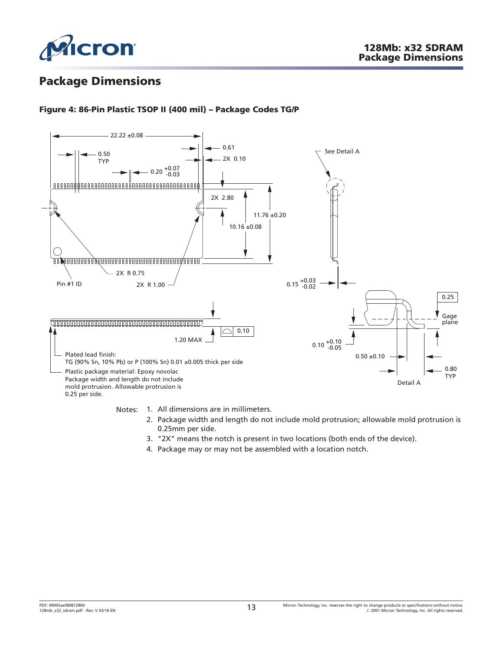<span id="page-12-0"></span>

### **Package Dimensions**

### **Figure 4: 86-Pin Plastic TSOP II (400 mil) – Package Codes TG/P**



Notes: 1. All dimensions are in millimeters.

- 2. Package width and length do not include mold protrusion; allowable mold protrusion is 0.25mm per side.
- 3. "2X" means the notch is present in two locations (both ends of the device).
- 4. Package may or may not be assembled with a location notch.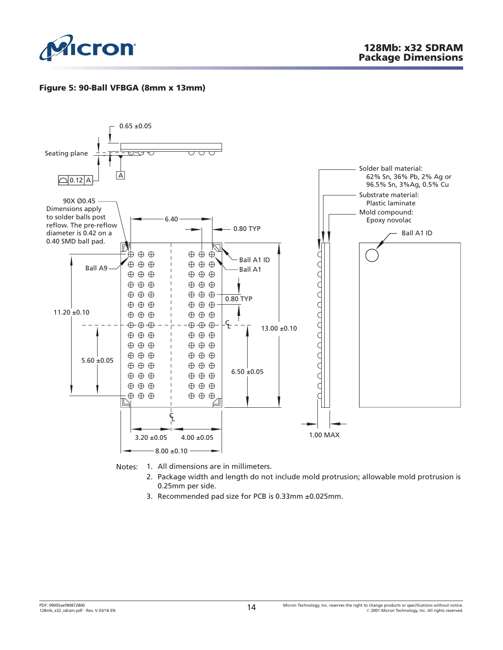<span id="page-13-0"></span>

### **Figure 5: 90-Ball VFBGA (8mm x 13mm)**



Notes: 1. All dimensions are in millimeters.

- 2. Package width and length do not include mold protrusion; allowable mold protrusion is 0.25mm per side.
- 3. Recommended pad size for PCB is 0.33mm ±0.025mm.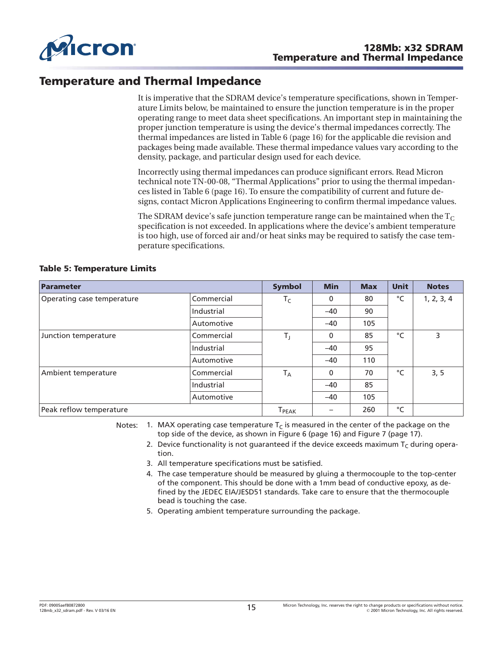<span id="page-14-0"></span>

### **Temperature and Thermal Impedance**

It is imperative that the SDRAM device's temperature specifications, shown in Temperature Limits below, be maintained to ensure the junction temperature is in the proper operating range to meet data sheet specifications. An important step in maintaining the proper junction temperature is using the device's thermal impedances correctly. The thermal impedances are listed in [Table 6](#page-15-0) ([page 16](#page-15-0)) for the applicable die revision and packages being made available. These thermal impedance values vary according to the density, package, and particular design used for each device.

Incorrectly using thermal impedances can produce significant errors. Read Micron technical note TN-00-08, "Thermal Applications" prior to using the thermal impedances listed in [Table 6](#page-15-0) ([page 16](#page-15-0)). To ensure the compatibility of current and future designs, contact Micron Applications Engineering to confirm thermal impedance values.

The SDRAM device's safe junction temperature range can be maintained when the  $T_c$ specification is not exceeded. In applications where the device's ambient temperature is too high, use of forced air and/or heat sinks may be required to satisfy the case temperature specifications.

| Parameter                  |            | <b>Symbol</b>                | <b>Min</b>               | <b>Max</b> | <b>Unit</b> | <b>Notes</b> |
|----------------------------|------------|------------------------------|--------------------------|------------|-------------|--------------|
| Operating case temperature | Commercial | $T_C$                        | 0                        | 80         | °C          | 1, 2, 3, 4   |
|                            | Industrial |                              | $-40$                    | 90         |             |              |
|                            | Automotive |                              | $-40$                    | 105        |             |              |
| Junction temperature       | Commercial | $T_{\rm J}$                  | 0                        | 85         | $^{\circ}C$ | 3            |
|                            | Industrial |                              | $-40$                    | 95         |             |              |
|                            | Automotive |                              | $-40$                    | 110        |             |              |
| Ambient temperature        | Commercial | $T_A$                        | 0                        | 70         | °C          | 3, 5         |
|                            | Industrial |                              | $-40$                    | 85         |             |              |
|                            | Automotive |                              | $-40$                    | 105        |             |              |
| Peak reflow temperature    |            | $\mathsf{T}_{\mathsf{PEAK}}$ | $\overline{\phantom{0}}$ | 260        | °C          |              |

#### **Table 5: Temperature Limits**

Notes: 1. MAX operating case temperature  $T_c$  is measured in the center of the package on the top side of the device, as shown in [Figure 6](#page-15-0) ([page 16](#page-15-0)) and [Figure 7](#page-16-0) ([page 17](#page-16-0)).

2. Device functionality is not quaranteed if the device exceeds maximum  $T_c$  during operation.

- 3. All temperature specifications must be satisfied.
- 4. The case temperature should be measured by gluing a thermocouple to the top-center of the component. This should be done with a 1mm bead of conductive epoxy, as defined by the JEDEC EIA/JESD51 standards. Take care to ensure that the thermocouple bead is touching the case.
- 5. Operating ambient temperature surrounding the package.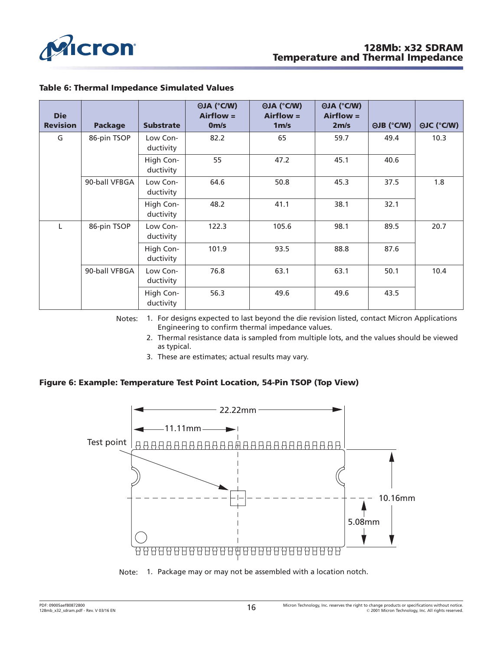<span id="page-15-0"></span>

| <b>Die</b><br><b>Revision</b> | <b>Package</b> | <b>Substrate</b>       | <b>OJA (°C/W)</b><br>$Airflow =$<br>0 <sub>m/s</sub> | <b>OJA (°C/W)</b><br>$Airflow =$<br>1 <sub>m/s</sub> | <b>OJA (°C/W)</b><br>$Airflow =$<br>2 <sub>m/s</sub> | <b>OJB (°C/W)</b> | <b>OJC (°C/W)</b> |
|-------------------------------|----------------|------------------------|------------------------------------------------------|------------------------------------------------------|------------------------------------------------------|-------------------|-------------------|
| G                             | 86-pin TSOP    | Low Con-<br>ductivity  | 82.2                                                 | 65                                                   | 59.7                                                 | 49.4              | 10.3              |
|                               |                | High Con-<br>ductivity | 55                                                   | 47.2                                                 | 45.1                                                 | 40.6              |                   |
|                               | 90-ball VFBGA  | Low Con-<br>ductivity  | 64.6                                                 | 50.8                                                 | 45.3                                                 | 37.5              | 1.8               |
|                               |                | High Con-<br>ductivity | 48.2                                                 | 41.1                                                 | 38.1                                                 | 32.1              |                   |
|                               | 86-pin TSOP    | Low Con-<br>ductivity  | 122.3                                                | 105.6                                                | 98.1                                                 | 89.5              | 20.7              |
|                               |                | High Con-<br>ductivity | 101.9                                                | 93.5                                                 | 88.8                                                 | 87.6              |                   |
|                               | 90-ball VFBGA  | Low Con-<br>ductivity  | 76.8                                                 | 63.1                                                 | 63.1                                                 | 50.1              | 10.4              |
|                               |                | High Con-<br>ductivity | 56.3                                                 | 49.6                                                 | 49.6                                                 | 43.5              |                   |

### **Table 6: Thermal Impedance Simulated Values**

Notes: 1. For designs expected to last beyond the die revision listed, contact Micron Applications Engineering to confirm thermal impedance values.

- 2. Thermal resistance data is sampled from multiple lots, and the values should be viewed as typical.
- 3. These are estimates; actual results may vary.

### **Figure 6: Example: Temperature Test Point Location, 54-Pin TSOP (Top View)**



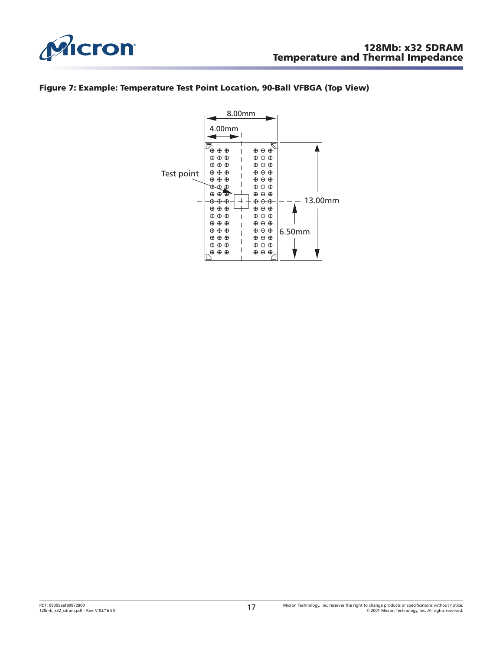<span id="page-16-0"></span>

### **Figure 7: Example: Temperature Test Point Location, 90-Ball VFBGA (Top View)**

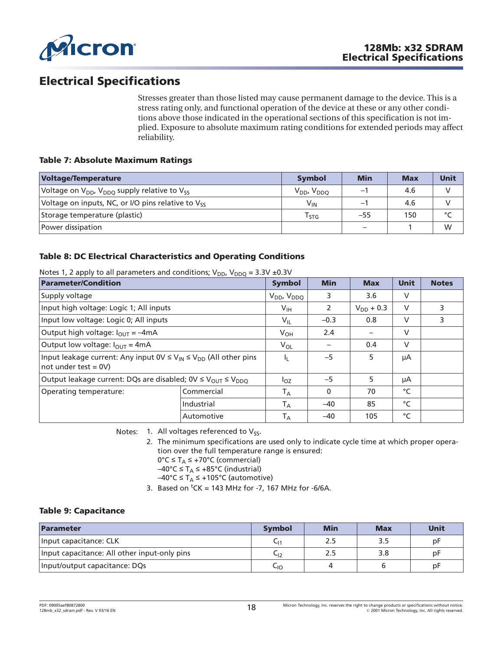<span id="page-17-0"></span>

### **Electrical Specifications**

Stresses greater than those listed may cause permanent damage to the device. This is a stress rating only, and functional operation of the device at these or any other conditions above those indicated in the operational sections of this specification is not implied. Exposure to absolute maximum rating conditions for extended periods may affect reliability.

#### **Table 7: Absolute Maximum Ratings**

| Voltage/Temperature                                                              | Symbol                      | <b>Min</b> | <b>Max</b> | Unit    |
|----------------------------------------------------------------------------------|-----------------------------|------------|------------|---------|
| Voltage on V <sub>DD</sub> , V <sub>DDO</sub> supply relative to V <sub>SS</sub> | $V_{DD}$ , $V_{DDQ}$        | - 1        | 4.6        |         |
| Voltage on inputs, NC, or I/O pins relative to $V_{ss}$                          | $V_{IN}$                    | —          | 4.6        |         |
| Storage temperature (plastic)                                                    | $\mathsf{r}_{\mathsf{STG}}$ | $-55$      | 150        | $\circ$ |
| Power dissipation                                                                |                             |            |            | W       |

### **Table 8: DC Electrical Characteristics and Operating Conditions**

| <b>Parameter/Condition</b>                                                                                 | <b>Symbol</b> | <b>Min</b>              | <b>Max</b>   | <b>Unit</b>    | <b>Notes</b> |   |
|------------------------------------------------------------------------------------------------------------|---------------|-------------------------|--------------|----------------|--------------|---|
| Supply voltage                                                                                             |               | $V_{DD}$ , $V_{DDQ}$    | 3            | 3.6            | V            |   |
| Input high voltage: Logic 1; All inputs                                                                    |               | $V_{\text{IH}}$         | 2            | $V_{DD}$ + 0.3 | $\vee$       | 3 |
| Input low voltage: Logic 0; All inputs                                                                     |               | $V_{IL}$                | $-0.3$       | 0.8            | $\vee$       | 3 |
| Output high voltage: $I_{\text{OUT}} = -4 \text{mA}$                                                       | $V_{OH}$      | 2.4                     |              | V              |              |   |
| Output low voltage: $I_{\text{OUT}} = 4 \text{mA}$                                                         | $V_{OL}$      |                         | 0.4          | $\vee$         |              |   |
| Input leakage current: Any input $0 \vee \leq V_{1N} \leq V_{DD}$ (All other pins<br>$not under test = 0V$ |               | Ь.                      | $-5$         | 5              | μA           |   |
| Output leakage current: DQs are disabled; $0 \vee \leq V_{\text{OUT}} \leq V_{\text{DDO}}$                 |               | $I_{OZ}$                | $-5$         | 5              | μA           |   |
| Operating temperature:                                                                                     | Commercial    | $T_A$                   | $\mathbf{0}$ | 70             | °C           |   |
|                                                                                                            | Industrial    | $T_A$                   | $-40$        | 85             | $^{\circ}C$  |   |
|                                                                                                            | Automotive    | $\mathsf{T}_\mathsf{A}$ | $-40$        | 105            | °C           |   |

Notes 1, 2 apply to all parameters and conditions;  $V_{DD}$ ,  $V_{DDQ} = 3.3V + 0.3V$ 

Notes: 1. All voltages referenced to  $V_{SS}$ .

2. The minimum specifications are used only to indicate cycle time at which proper operation over the full temperature range is ensured:  $0^{\circ}C \leq T_A \leq +70^{\circ}C$  (commercial)

–40°C ≤ T<sub>A</sub> ≤ +85°C (industrial)

–40°C ≤ T<sub>A</sub> ≤ +105°C (automotive)

3. Based on  ${}^{t}CK = 143$  MHz for -7, 167 MHz for -6/6A.

### **Table 9: Capacitance**

| Parameter                                    | <b>Symbol</b> | <b>Min</b> | <b>Max</b> | <b>Unit</b> |
|----------------------------------------------|---------------|------------|------------|-------------|
| Input capacitance: CLK                       | ∪1            | 2.5        | 3.5        | pF          |
| Input capacitance: All other input-only pins | ֊լշ           | 2.5        | 3.8        | pF          |
| Input/output capacitance: DQs                | ⊂ıo           |            |            | pF          |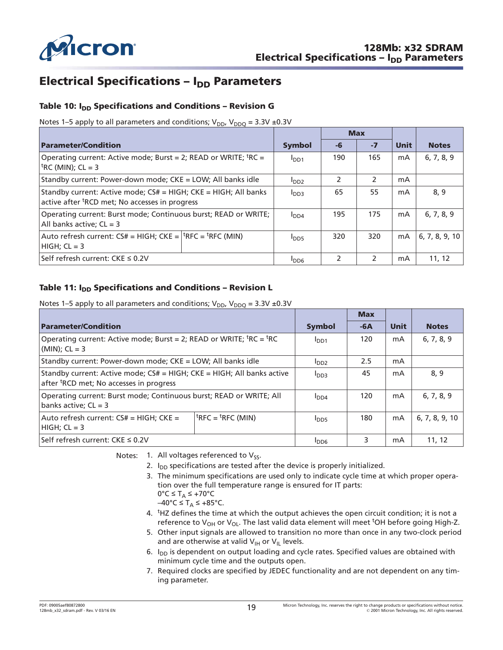<span id="page-18-0"></span>

### **Electrical Specifications – I<sub>DD</sub> Parameters**

### Table 10: I<sub>DD</sub> Specifications and Conditions - Revision G

Notes 1–5 apply to all parameters and conditions;  $V_{DD}$ ,  $V_{DDQ} = 3.3V \pm 0.3V$ 

|                                                                                                                                   |                  | <b>Max</b>    |               |             |                |
|-----------------------------------------------------------------------------------------------------------------------------------|------------------|---------------|---------------|-------------|----------------|
| <b>Parameter/Condition</b>                                                                                                        | <b>Symbol</b>    | -6            | $-7$          | <b>Unit</b> | <b>Notes</b>   |
| Operating current: Active mode; Burst = 2; READ or WRITE; <sup>t</sup> RC =<br>$\text{[tRC (MIN); CL = 3]}$                       | I <sub>DD1</sub> | 190           | 165           | mA          | 6, 7, 8, 9     |
| Standby current: Power-down mode; CKE = LOW; All banks idle                                                                       | I <sub>DD2</sub> |               |               | mA          |                |
| Standby current: Active mode; $CS#$ = HIGH; $CKE$ = HIGH; All banks<br>active after <sup>t</sup> RCD met; No accesses in progress | I <sub>DD3</sub> | 65            | 55            | mA          | 8, 9           |
| Operating current: Burst mode; Continuous burst; READ or WRITE;<br>All banks active; $CL = 3$                                     | I <sub>DD4</sub> | 195           | 175           | mA          | 6, 7, 8, 9     |
| Auto refresh current: $CS# = HIGH$ ; $CKE =  $ <sup>t</sup> RFC = <sup>t</sup> RFC (MIN)<br>$HIGH$ ; $CL = 3$                     | $I_{DD5}$        | 320           | 320           | mA          | 6, 7, 8, 9, 10 |
| Self refresh current: CKE ≤ 0.2V                                                                                                  | <b>PDD6</b>      | $\mathcal{P}$ | $\mathcal{P}$ | mA          | 11, 12         |

### Table 11: I<sub>DD</sub> Specifications and Conditions – Revision L

Notes 1–5 apply to all parameters and conditions;  $V_{DD}$ ,  $V_{DDQ} = 3.3V \pm 0.3V$ 

| <b>Parameter/Condition</b>                                                                                                        | <b>Symbol</b>    | $-6A$       | <b>Unit</b> | <b>Notes</b>   |       |  |  |
|-----------------------------------------------------------------------------------------------------------------------------------|------------------|-------------|-------------|----------------|-------|--|--|
| Operating current: Active mode; Burst = 2; READ or WRITE; <sup>t</sup> RC = <sup>t</sup> RC<br>$(MIN)$ ; CL = 3                   | I <sub>DD1</sub> | 120         | mA          | 6, 7, 8, 9     |       |  |  |
| Standby current: Power-down mode; CKE = LOW; All banks idle                                                                       | $I_{DD2}$        | 2.5         | mA          |                |       |  |  |
| Standby current: Active mode; $CS#$ = HIGH; $CKE$ = HIGH; All banks active<br>after <sup>t</sup> RCD met; No accesses in progress | I <sub>DD3</sub> | 45          | mA          | 8, 9           |       |  |  |
| Operating current: Burst mode; Continuous burst; READ or WRITE; All<br>banks active; $CL = 3$                                     | I <sub>DD4</sub> | 120         | mA          | 6, 7, 8, 9     |       |  |  |
| Auto refresh current: $CS# = HIGH$ ; $CKE =$<br>$HIGH$ ; $CL = 3$                                                                 | $I_{\text{DD5}}$ | 180         | mA          | 6, 7, 8, 9, 10 |       |  |  |
| Self refresh current: CKE ≤ 0.2V                                                                                                  |                  | <b>PDD6</b> | 3           | mA             | 11.12 |  |  |

Notes: 1. All voltages referenced to  $V_{SS}$ .

- 2.  $I_{DD}$  specifications are tested after the device is properly initialized.
- 3. The minimum specifications are used only to indicate cycle time at which proper operation over the full temperature range is ensured for IT parts:  $0^{\circ}C \leq T_A \leq +70^{\circ}C$

–40°C ≤ T<sub>A</sub> ≤ +85°C.

- 4. <sup>t</sup>HZ defines the time at which the output achieves the open circuit condition; it is not a reference to V<sub>OH</sub> or V<sub>OL</sub>. The last valid data element will meet <sup>t</sup>OH before going High-Z.
- 5. Other input signals are allowed to transition no more than once in any two-clock period and are otherwise at valid  $V_{\text{IH}}$  or  $V_{\text{IL}}$  levels.
- 6.  $I_{DD}$  is dependent on output loading and cycle rates. Specified values are obtained with minimum cycle time and the outputs open.
- 7. Required clocks are specified by JEDEC functionality and are not dependent on any timing parameter.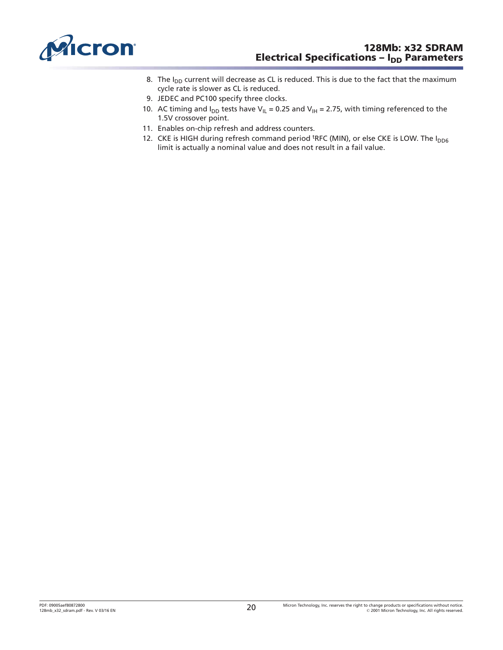<span id="page-19-0"></span>

- 8. The  $I_{DD}$  current will decrease as CL is reduced. This is due to the fact that the maximum cycle rate is slower as CL is reduced.
- 9. JEDEC and PC100 specify three clocks.
- 10. AC timing and  $I_{DD}$  tests have V<sub>IL</sub> = 0.25 and V<sub>IH</sub> = 2.75, with timing referenced to the 1.5V crossover point.
- 11. Enables on-chip refresh and address counters.
- 12. CKE is HIGH during refresh command period <sup>t</sup>RFC (MIN), or else CKE is LOW. The I<sub>DD6</sub> limit is actually a nominal value and does not result in a fail value.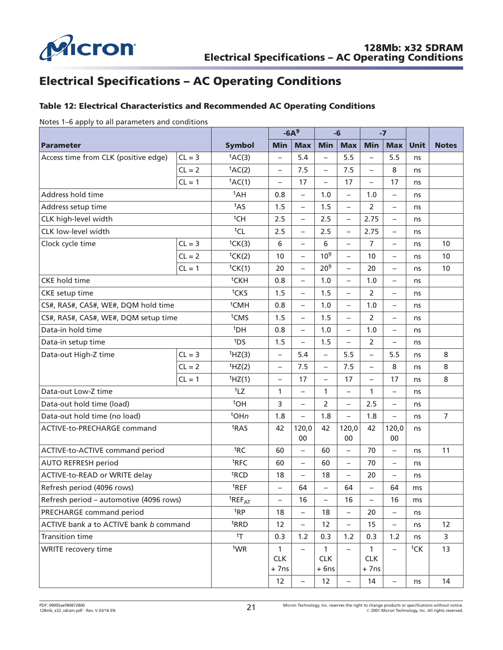<span id="page-20-0"></span>

### **Electrical Specifications – AC Operating Conditions**

### **Table 12: Electrical Characteristics and Recommended AC Operating Conditions**

Notes 1–6 apply to all parameters and conditions

|                                         |                                 |                          |                           | $-6A9$                   |                                      | -6                       |                                     | $-7$                     |      |                |
|-----------------------------------------|---------------------------------|--------------------------|---------------------------|--------------------------|--------------------------------------|--------------------------|-------------------------------------|--------------------------|------|----------------|
| <b>Parameter</b>                        |                                 | <b>Symbol</b>            | <b>Min</b>                | <b>Max</b>               | <b>Min</b>                           | <b>Max</b>               | <b>Min</b>                          | <b>Max</b>               | Unit | <b>Notes</b>   |
| Access time from CLK (positive edge)    | $CL = 3$                        | $tAC(3)$                 | $\overline{\phantom{0}}$  | 5.4                      | $\overline{\phantom{0}}$             | 5.5                      | $\overline{\phantom{0}}$            | 5.5                      | ns   |                |
|                                         | $CL = 2$                        | tAC(2)                   | $\qquad \qquad -$         | 7.5                      | $\qquad \qquad -$                    | 7.5                      |                                     | 8                        | ns   |                |
|                                         | $CL = 1$                        | $tAC(1)$                 | $\overline{\phantom{0}}$  | 17                       | $\overline{\phantom{0}}$             | 17                       | $\overline{\phantom{0}}$            | 17                       | ns   |                |
| Address hold time                       |                                 | <sup>t</sup> AH          | 0.8                       | $\qquad \qquad -$        | 1.0                                  | $\qquad \qquad -$        | 1.0                                 | $\qquad \qquad -$        | ns   |                |
| Address setup time                      |                                 | t <sub>AS</sub>          | 1.5                       | $\overline{\phantom{0}}$ | 1.5                                  | $\overline{\phantom{0}}$ | 2                                   |                          | ns   |                |
| CLK high-level width                    |                                 | tCH                      | 2.5                       | $\qquad \qquad -$        | 2.5                                  | $\qquad \qquad -$        | 2.75                                | $\qquad \qquad -$        | ns   |                |
| CLK low-level width                     |                                 | tCL                      | 2.5                       | $\overline{\phantom{0}}$ | 2.5                                  | $\overline{\phantom{0}}$ | 2.75                                | $\qquad \qquad -$        | ns   |                |
| Clock cycle time                        | $CL = 3$                        | tCK(3)                   | 6                         | $\overline{\phantom{0}}$ | 6                                    | $\overline{\phantom{0}}$ | $\overline{7}$                      | $\qquad \qquad -$        | ns   | 10             |
|                                         | $CL = 2$                        | tCK(2)                   | 10                        | $\overline{\phantom{0}}$ | 10 <sup>9</sup>                      | $\overline{\phantom{0}}$ | 10                                  |                          | ns   | 10             |
|                                         | $CL = 1$                        | tCK(1)                   | 20                        | $\qquad \qquad -$        | 20 <sup>9</sup>                      | $\qquad \qquad -$        | 20                                  | $\qquad \qquad -$        | ns   | 10             |
| <b>CKE</b> hold time                    |                                 | <sup>t</sup> CKH         | 0.8                       | $\overline{\phantom{0}}$ | 1.0                                  | $\overline{\phantom{0}}$ | 1.0                                 |                          | ns   |                |
| CKE setup time                          |                                 | tCKS                     | 1.5                       | $\qquad \qquad -$        | 1.5                                  | $\overline{\phantom{0}}$ | 2                                   | $\qquad \qquad -$        | ns   |                |
| CS#, RAS#, CAS#, WE#, DQM hold time     |                                 | <sup>t</sup> CMH         | 0.8                       | $\overline{\phantom{0}}$ | 1.0                                  | $\overline{\phantom{0}}$ | 1.0                                 |                          | ns   |                |
| CS#, RAS#, CAS#, WE#, DQM setup time    |                                 | <sup>t</sup> CMS         | 1.5                       | $\qquad \qquad -$        | 1.5                                  | $\overline{\phantom{0}}$ | $\overline{2}$                      | $\qquad \qquad -$        | ns   |                |
| Data-in hold time                       | <sup>t</sup> DH                 | 0.8                      | $\overline{\phantom{0}}$  | 1.0                      | $\overline{\phantom{0}}$             | 1.0                      |                                     | ns                       |      |                |
| Data-in setup time                      | t <sub>DS</sub>                 | 1.5                      | $\overline{\phantom{0}}$  | 1.5                      | $\overline{\phantom{0}}$             | $\overline{2}$           |                                     | ns                       |      |                |
| Data-out High-Z time                    | $CL = 3$                        | $t$ HZ(3)                | $\overline{\phantom{0}}$  | 5.4                      | $\overline{\phantom{0}}$             | 5.5                      | $\overline{\phantom{0}}$            | 5.5                      | ns   | 8              |
|                                         | $CL = 2$                        | HZ(2)                    | $\qquad \qquad -$         | 7.5                      | $\qquad \qquad -$                    | 7.5                      | $\qquad \qquad -$                   | 8                        | ns   | 8              |
|                                         | $CL = 1$                        | $t$ HZ(1)                | $\overline{\phantom{0}}$  | 17                       | $\overline{\phantom{0}}$             | 17                       | $\overline{\phantom{0}}$            | 17                       | ns   | 8              |
| Data-out Low-Z time                     |                                 | t <sub>LZ</sub>          | 1                         | $\overline{\phantom{0}}$ | 1                                    | $\overline{\phantom{0}}$ | 1                                   | $\qquad \qquad -$        | ns   |                |
| Data-out hold time (load)               |                                 | <sup>t</sup> OH          | 3                         | $\overline{\phantom{0}}$ | 2                                    | $\overline{\phantom{0}}$ | 2.5                                 |                          | ns   |                |
| Data-out hold time (no load)            |                                 | $tOHn$                   | 1.8                       |                          | 1.8                                  | $\qquad \qquad -$        | 1.8                                 | $\overline{\phantom{0}}$ | ns   | $\overline{7}$ |
| ACTIVE-to-PRECHARGE command             |                                 | <sup>t</sup> RAS         | 42                        | 120,0<br>00              | 42                                   | 120,0<br>00              | 42                                  | 120,0<br>00              | ns   |                |
| ACTIVE-to-ACTIVE command period         |                                 | t <sub>RC</sub>          | 60                        | $\qquad \qquad -$        | 60                                   | $\qquad \qquad -$        | 70                                  | $\qquad \qquad -$        | ns   | 11             |
| <b>AUTO REFRESH period</b>              |                                 | <sup>t</sup> RFC         | 60                        | $\overline{\phantom{0}}$ | 60                                   | $\overline{\phantom{0}}$ | 70                                  |                          | ns   |                |
| ACTIVE-to-READ or WRITE delay           |                                 | <sup>t</sup> RCD         | 18                        | $\overline{\phantom{0}}$ | 18                                   | $\overline{\phantom{0}}$ | 20                                  | $\qquad \qquad -$        | ns   |                |
| Refresh period (4096 rows)              |                                 | <sup>t</sup> REF         | $\overline{\phantom{0}}$  | 64                       | $\overline{\phantom{0}}$             | 64                       | $\overline{\phantom{0}}$            | 64                       | ms   |                |
| Refresh period - automotive (4096 rows) | $^{\text{t}}$ REF <sub>AT</sub> | $\overline{\phantom{0}}$ | 16                        | $\qquad \qquad -$        | 16                                   | $\qquad \qquad -$        | 16                                  | ms                       |      |                |
| PRECHARGE command period                | <sup>t</sup> RP                 | 18                       | $\overline{\phantom{0}}$  | 18                       | $\overline{\phantom{0}}$             | 20                       |                                     | ns                       |      |                |
| ACTIVE bank a to ACTIVE bank b command  | <sup>t</sup> RRD                | 12                       | $\qquad \qquad -$         | 12                       | $\qquad \qquad -$                    | 15                       | $\qquad \qquad -$                   | ns                       | 12   |                |
| <b>Transition time</b>                  | tr                              | 0.3                      | 1.2                       | 0.3                      | 1.2                                  | 0.3                      | 1.2                                 | ns                       | 3    |                |
| WRITE recovery time                     |                                 | twr                      | 1<br><b>CLK</b><br>$+7ns$ | $\qquad \qquad -$        | $\mathbf{1}$<br><b>CLK</b><br>$+6ns$ | $\qquad \qquad -$        | $\mathbf{1}$<br><b>CLK</b><br>+ 7ns | $\overline{\phantom{m}}$ | tCK  | 13             |
|                                         |                                 |                          | 12                        | $\qquad \qquad -$        | 12                                   | $\qquad \qquad -$        | 14                                  | $\qquad \qquad -$        | ns   | 14             |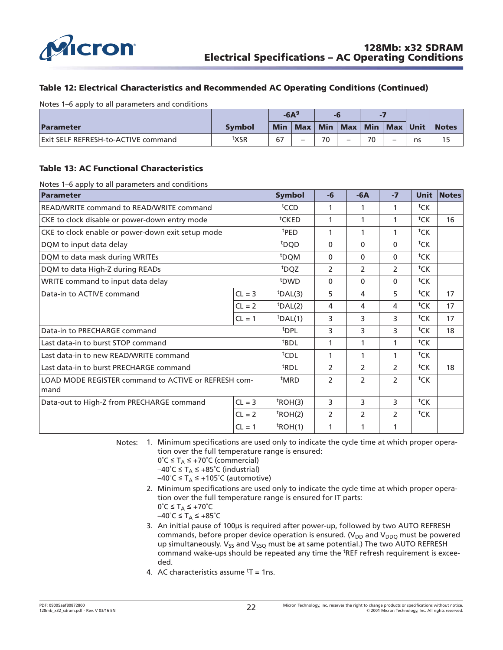<span id="page-21-0"></span>

### **Table 12: Electrical Characteristics and Recommended AC Operating Conditions (Continued)**

Notes 1–6 apply to all parameters and conditions

|                                     |               | $-6A9$ |  |    |                       |    |            | -6<br>Ξ, |              |  |  |  |
|-------------------------------------|---------------|--------|--|----|-----------------------|----|------------|----------|--------------|--|--|--|
| Parameter                           | <b>Symbol</b> | Min    |  |    | Max   Min   Max   Min |    | Max   Unit |          | <b>Notes</b> |  |  |  |
| Exit SELF REFRESH-to-ACTIVE command | txsr          | 67     |  | 70 |                       | 70 |            | ns       |              |  |  |  |

#### **Table 13: AC Functional Characteristics**

Notes 1–6 apply to all parameters and conditions

| <b>Parameter</b>                                     | <b>Symbol</b>    | $-6$              | $-6A$          | $-7$           | <b>Unit</b>    | <b>Notes</b>       |    |
|------------------------------------------------------|------------------|-------------------|----------------|----------------|----------------|--------------------|----|
| READ/WRITE command to READ/WRITE command             | <sup>t</sup> CCD | 1                 | 1              | 1              | tCK            |                    |    |
| CKE to clock disable or power-down entry mode        |                  | <sup>t</sup> CKED | 1              | 1              | 1              | tCK                | 16 |
| CKE to clock enable or power-down exit setup mode    |                  | <sup>t</sup> PED  | 1              |                | 1              | tCK                |    |
| DQM to input data delay                              |                  | <sup>t</sup> DQD  | $\Omega$       | $\Omega$       | $\Omega$       | tCK                |    |
| DQM to data mask during WRITEs                       |                  | <sup>t</sup> DQM  | $\Omega$       | $\Omega$       | $\Omega$       | tCK                |    |
| DQM to data High-Z during READs                      |                  | <sup>t</sup> DQZ  | $\overline{2}$ | $\overline{2}$ | 2              | tCK                |    |
| WRITE command to input data delay                    | <sup>t</sup> DWD | $\Omega$          | 0              | $\Omega$       | tCK            |                    |    |
| Data-in to ACTIVE command                            | $CL = 3$         | $tDAL(3)$         | 5              | 4              | 5              | tCK                | 17 |
|                                                      | $CL = 2$         | $t$ DAL(2)        | 4              | 4              | 4              | tCK                | 17 |
|                                                      | $CL = 1$         | $tDAL(1)$         | 3              | 3              | 3              | tCK                | 17 |
| Data-in to PRECHARGE command                         |                  | <sup>t</sup> DPL  | 3              | 3              | 3              | ${}^{\text{t}}$ CK | 18 |
| Last data-in to burst STOP command                   |                  | <sup>t</sup> BDL  | 1              |                | 1              | tCK                |    |
| Last data-in to new READ/WRITE command               |                  | <sup>t</sup> CDL  | 1              | $\mathbf{1}$   | 1              | tCK                |    |
| Last data-in to burst PRECHARGE command              |                  | <sup>t</sup> RDL  | $\mathcal{P}$  | $\mathcal{P}$  | $\overline{2}$ | tCK                | 18 |
| LOAD MODE REGISTER command to ACTIVE or REFRESH com- |                  | <sup>t</sup> MRD  | $\overline{2}$ | 2              | $\mathcal{P}$  | tCK                |    |
| mand                                                 |                  |                   |                |                |                |                    |    |
| Data-out to High-Z from PRECHARGE command            | $CL = 3$         | $t$ ROH(3)        | 3              | 3              | 3              | tCK                |    |
|                                                      | $t$ ROH(2)       | 2                 | $\overline{2}$ | 2              | tCK            |                    |    |
|                                                      | $CL = 1$         | $t$ ROH(1)        | 1              | 1              | 1              |                    |    |

Notes: 1. Minimum specifications are used only to indicate the cycle time at which proper operation over the full temperature range is ensured:

 $0°C \leq T_A \leq +70°C$  (commercial)

 $-40^{\circ}$ C  $\leq$  T<sub>A</sub>  $\leq$  +85 $^{\circ}$ C (industrial)

 $-40^{\circ}$ C  $\leq$  T<sub>A</sub>  $\leq$  +105 $^{\circ}$ C (automotive)

2. Minimum specifications are used only to indicate the cycle time at which proper operation over the full temperature range is ensured for IT parts:  $0^{\circ}C \leq T_A \leq +70^{\circ}C$ 

 $-40^{\circ}$ C  $\leq$  T<sub>A</sub>  $\leq$  +85 $^{\circ}$ C

- 3. An initial pause of 100µs is required after power-up, followed by two AUTO REFRESH commands, before proper device operation is ensured. ( $V_{DD}$  and  $V_{DDQ}$  must be powered up simultaneously.  $V_{SS}$  and  $V_{SSQ}$  must be at same potential.) The two AUTO REFRESH command wake-ups should be repeated any time the <sup>t</sup>REF refresh requirement is exceeded.
- 4. AC characteristics assume  $<sup>t</sup>T = 1$ ns.</sup>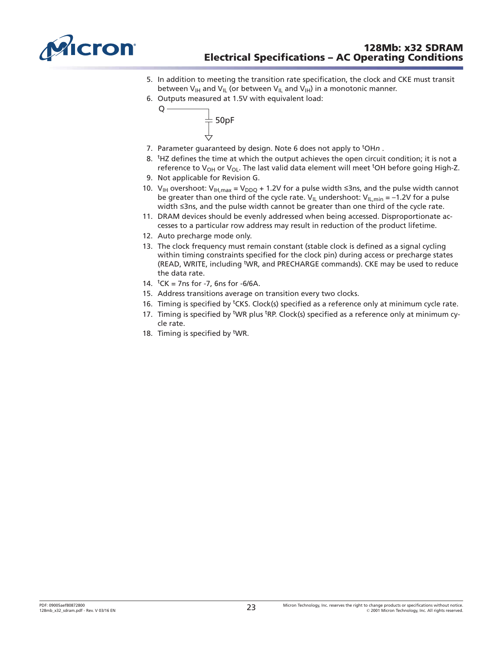<span id="page-22-0"></span>

- 5. In addition to meeting the transition rate specification, the clock and CKE must transit between  $V_{\text{IH}}$  and  $V_{\text{IL}}$  (or between  $V_{\text{IL}}$  and  $V_{\text{IH}}$ ) in a monotonic manner.
- 6. Outputs measured at 1.5V with equivalent load:



- 7. Parameter guaranteed by design. Note 6 does not apply to <sup>t</sup>OHn.
- 8. <sup>t</sup>HZ defines the time at which the output achieves the open circuit condition; it is not a reference to V<sub>OH</sub> or V<sub>OL</sub>. The last valid data element will meet <sup>t</sup>OH before going High-Z.
- 9. Not applicable for Revision G.
- 10.  $V_{IH}$  overshoot:  $V_{IH,max} = V_{DDQ} + 1.2V$  for a pulse width  $\leq$ 3ns, and the pulse width cannot be greater than one third of the cycle rate.  $V_{IL}$  undershoot:  $V_{IL,min} = -1.2V$  for a pulse width  $\leq$ 3ns, and the pulse width cannot be greater than one third of the cycle rate.
- 11. DRAM devices should be evenly addressed when being accessed. Disproportionate accesses to a particular row address may result in reduction of the product lifetime.
- 12. Auto precharge mode only.
- 13. The clock frequency must remain constant (stable clock is defined as a signal cycling within timing constraints specified for the clock pin) during access or precharge states (READ, WRITE, including <sup>t</sup>WR, and PRECHARGE commands). CKE may be used to reduce the data rate.
- 14.  ${}^tCK = 7$ ns for -7, 6ns for -6/6A.
- 15. Address transitions average on transition every two clocks.
- 16. Timing is specified by <sup>t</sup>CKS. Clock(s) specified as a reference only at minimum cycle rate.
- 17. Timing is specified by <sup>t</sup>WR plus <sup>t</sup>RP. Clock(s) specified as a reference only at minimum cycle rate.
- 18. Timing is specified by <sup>t</sup>WR.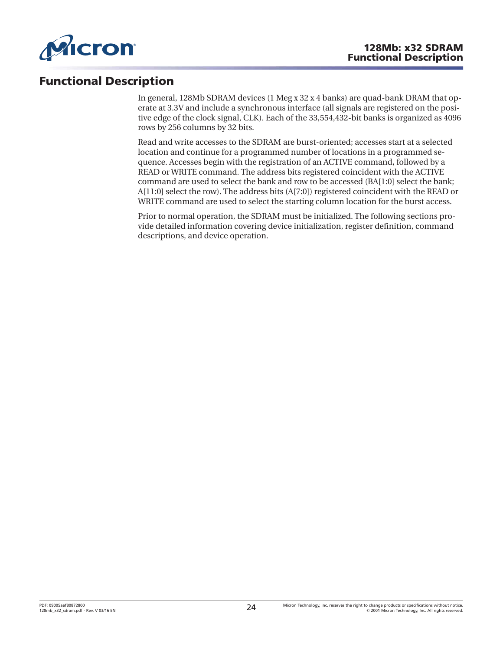<span id="page-23-0"></span>

### **Functional Description**

In general, 128Mb SDRAM devices (1 Meg x 32 x 4 banks) are quad-bank DRAM that operate at 3.3V and include a synchronous interface (all signals are registered on the positive edge of the clock signal, CLK). Each of the 33,554,432-bit banks is organized as 4096 rows by 256 columns by 32 bits.

Read and write accesses to the SDRAM are burst-oriented; accesses start at a selected location and continue for a programmed number of locations in a programmed sequence. Accesses begin with the registration of an ACTIVE command, followed by a READ or WRITE command. The address bits registered coincident with the ACTIVE command are used to select the bank and row to be accessed (BA[1:0] select the bank; A[11:0] select the row). The address bits (A[7:0]) registered coincident with the READ or WRITE command are used to select the starting column location for the burst access.

Prior to normal operation, the SDRAM must be initialized. The following sections provide detailed information covering device initialization, register definition, command descriptions, and device operation.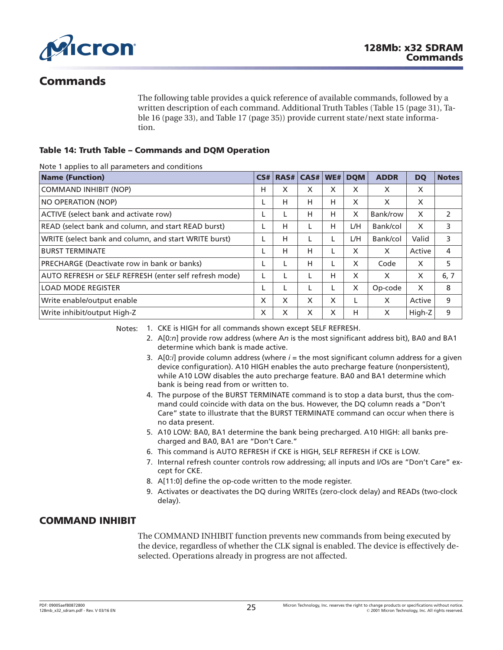<span id="page-24-0"></span>

### **Commands**

The following table provides a quick reference of available commands, followed by a written description of each command. Additional Truth Tables ([Table 15](#page-30-0) ([page 31](#page-30-0)), [Ta](#page-32-0)[ble 16](#page-32-0) ([page 33](#page-32-0)), and [Table 17](#page-34-0) [\(page 35\)](#page-34-0)) provide current state/next state information.

### **Table 14: Truth Table – Commands and DQM Operation**

Note 1 applies to all parameters and conditions

| <b>Name (Function)</b>                                 | CS# | RAS# | CAS# | WE# | <b>DOM</b> | <b>ADDR</b> | <b>DQ</b> | <b>Notes</b> |
|--------------------------------------------------------|-----|------|------|-----|------------|-------------|-----------|--------------|
| <b>COMMAND INHIBIT (NOP)</b>                           | н   | X    | X    | X   | X          | X           | X         |              |
| NO OPERATION (NOP)                                     |     | H    | н    | н   | X          | X           | X         |              |
| ACTIVE (select bank and activate row)                  |     | L    | Н    | н   | X          | Bank/row    | X         | 2            |
| READ (select bank and column, and start READ burst)    |     | H    |      | н   | L/H        | Bank/col    | X         | 3            |
| WRITE (select bank and column, and start WRITE burst)  |     | H    |      |     | L/H        | Bank/col    | Valid     | 3            |
| <b>BURST TERMINATE</b>                                 |     | H    | Н    |     | X          | X           | Active    | 4            |
| PRECHARGE (Deactivate row in bank or banks)            |     |      | н    |     | X          | Code        | X         | 5            |
| AUTO REFRESH or SELF REFRESH (enter self refresh mode) |     |      |      | н   | X          | X           | X         | 6, 7         |
| <b>LOAD MODE REGISTER</b>                              |     | L    |      |     | X          | Op-code     | X         | 8            |
| Write enable/output enable                             | X   | X    | X    | X   |            | X           | Active    | 9            |
| Write inhibit/output High-Z                            | X   | X    | X    | X   | н          | X           | High-Z    | 9            |

Notes: 1. CKE is HIGH for all commands shown except SELF REFRESH.

- 2. A[0*:n*] provide row address (where A*n* is the most significant address bit), BA0 and BA1 determine which bank is made active.
- 3.  $A[0:j]$  provide column address (where  $i =$  the most significant column address for a given device configuration). A10 HIGH enables the auto precharge feature (nonpersistent), while A10 LOW disables the auto precharge feature. BA0 and BA1 determine which bank is being read from or written to.
- 4. The purpose of the BURST TERMINATE command is to stop a data burst, thus the command could coincide with data on the bus. However, the DQ column reads a "Don't Care" state to illustrate that the BURST TERMINATE command can occur when there is no data present.
- 5. A10 LOW: BA0, BA1 determine the bank being precharged. A10 HIGH: all banks precharged and BA0, BA1 are "Don't Care."
- 6. This command is AUTO REFRESH if CKE is HIGH, SELF REFRESH if CKE is LOW.
- 7. Internal refresh counter controls row addressing; all inputs and I/Os are "Don't Care" except for CKE.
- 8. A[11:0] define the op-code written to the mode register.
- 9. Activates or deactivates the DQ during WRITEs (zero-clock delay) and READs (two-clock delay).

### **COMMAND INHIBIT**

The COMMAND INHIBIT function prevents new commands from being executed by the device, regardless of whether the CLK signal is enabled. The device is effectively deselected. Operations already in progress are not affected.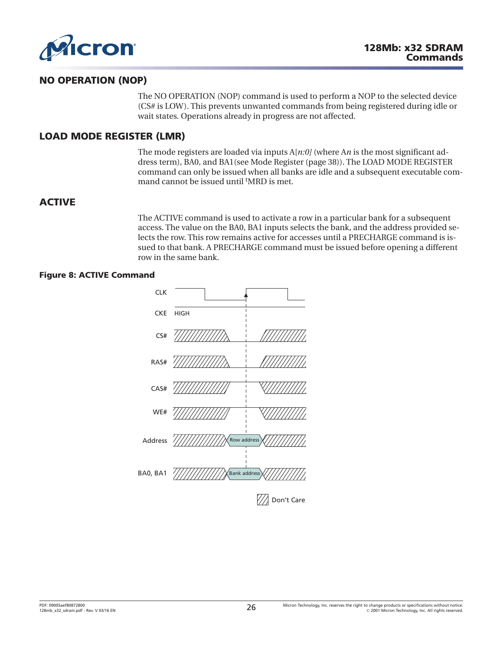<span id="page-25-0"></span>

### **NO OPERATION (NOP)**

The NO OPERATION (NOP) command is used to perform a NOP to the selected device (CS# is LOW). This prevents unwanted commands from being registered during idle or wait states. Operations already in progress are not affected.

### **LOAD MODE REGISTER (LMR)**

The mode registers are loaded via inputs A[*n:0]* (where A*n* is the most significant address term), BA0, and BA1(see [Mode Register \(page 38\)](#page-37-0)). The LOAD MODE REGISTER command can only be issued when all banks are idle and a subsequent executable command cannot be issued until <sup>t</sup>MRD is met.

### **ACTIVE**

The ACTIVE command is used to activate a row in a particular bank for a subsequent access. The value on the BA0, BA1 inputs selects the bank, and the address provided selects the row. This row remains active for accesses until a PRECHARGE command is issued to that bank. A PRECHARGE command must be issued before opening a different row in the same bank.

### **Figure 8: ACTIVE Command**

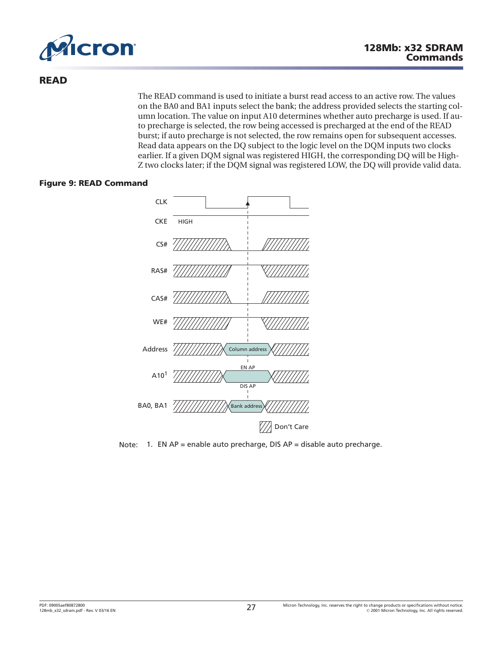<span id="page-26-0"></span>

### **READ**

The READ command is used to initiate a burst read access to an active row. The values on the BA0 and BA1 inputs select the bank; the address provided selects the starting column location. The value on input A10 determines whether auto precharge is used. If auto precharge is selected, the row being accessed is precharged at the end of the READ burst; if auto precharge is not selected, the row remains open for subsequent accesses. Read data appears on the DQ subject to the logic level on the DQM inputs two clocks earlier. If a given DQM signal was registered HIGH, the corresponding DQ will be High-Z two clocks later; if the DQM signal was registered LOW, the DQ will provide valid data.

### **Figure 9: READ Command**



Note: 1. EN AP = enable auto precharge, DIS AP = disable auto precharge.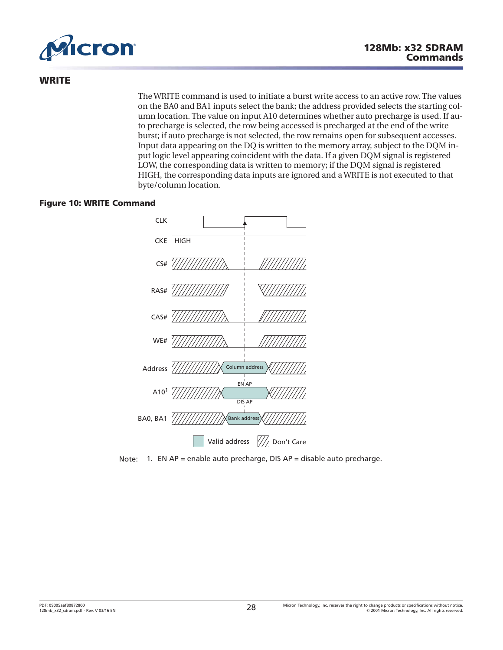<span id="page-27-0"></span>

### **WRITE**

The WRITE command is used to initiate a burst write access to an active row. The values on the BA0 and BA1 inputs select the bank; the address provided selects the starting column location. The value on input A10 determines whether auto precharge is used. If auto precharge is selected, the row being accessed is precharged at the end of the write burst; if auto precharge is not selected, the row remains open for subsequent accesses. Input data appearing on the DQ is written to the memory array, subject to the DQM input logic level appearing coincident with the data. If a given DQM signal is registered LOW, the corresponding data is written to memory; if the DQM signal is registered HIGH, the corresponding data inputs are ignored and a WRITE is not executed to that byte/column location.

### **Figure 10: WRITE Command**



Note: 1. EN AP = enable auto precharge, DIS AP = disable auto precharge.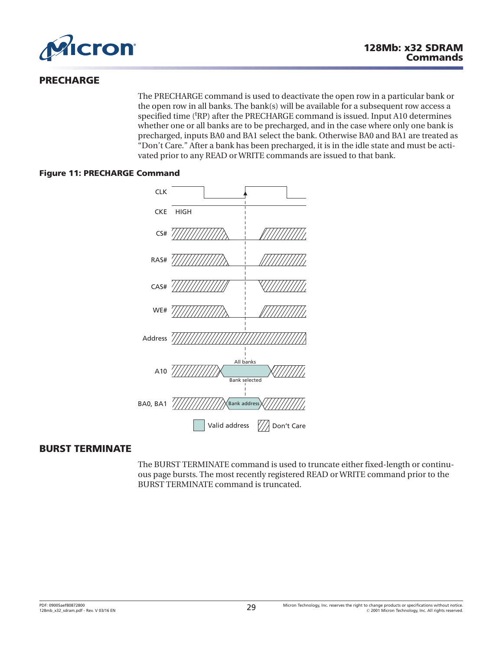<span id="page-28-0"></span>

### **PRECHARGE**

The PRECHARGE command is used to deactivate the open row in a particular bank or the open row in all banks. The bank(s) will be available for a subsequent row access a specified time ('RP) after the PRECHARGE command is issued. Input A10 determines whether one or all banks are to be precharged, and in the case where only one bank is precharged, inputs BA0 and BA1 select the bank. Otherwise BA0 and BA1 are treated as "Don't Care." After a bank has been precharged, it is in the idle state and must be activated prior to any READ or WRITE commands are issued to that bank.

### **Figure 11: PRECHARGE Command**



### **BURST TERMINATE**

The BURST TERMINATE command is used to truncate either fixed-length or continuous page bursts. The most recently registered READ or WRITE command prior to the BURST TERMINATE command is truncated.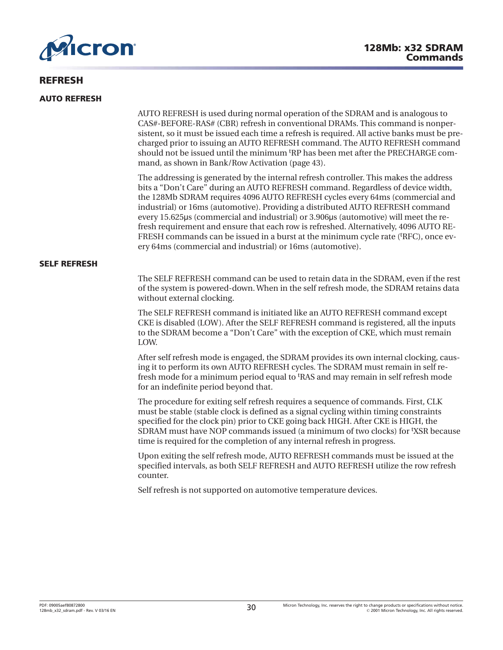<span id="page-29-0"></span>

### **REFRESH**

#### **AUTO REFRESH**

AUTO REFRESH is used during normal operation of the SDRAM and is analogous to CAS#-BEFORE-RAS# (CBR) refresh in conventional DRAMs. This command is nonpersistent, so it must be issued each time a refresh is required. All active banks must be precharged prior to issuing an AUTO REFRESH command. The AUTO REFRESH command should not be issued until the minimum <sup>t</sup> RP has been met after the PRECHARGE command, as shown in [Bank/Row Activation](#page-42-0) ([page 43](#page-42-0)).

The addressing is generated by the internal refresh controller. This makes the address bits a "Don't Care" during an AUTO REFRESH command. Regardless of device width, the 128Mb SDRAM requires 4096 AUTO REFRESH cycles every 64ms (commercial and industrial) or 16ms (automotive). Providing a distributed AUTO REFRESH command every 15.625µs (commercial and industrial) or 3.906µs (automotive) will meet the refresh requirement and ensure that each row is refreshed. Alternatively, 4096 AUTO RE-FRESH commands can be issued in a burst at the minimum cycle rate ('RFC), once every 64ms (commercial and industrial) or 16ms (automotive).

#### **SELF REFRESH**

The SELF REFRESH command can be used to retain data in the SDRAM, even if the rest of the system is powered-down. When in the self refresh mode, the SDRAM retains data without external clocking.

The SELF REFRESH command is initiated like an AUTO REFRESH command except CKE is disabled (LOW). After the SELF REFRESH command is registered, all the inputs to the SDRAM become a "Don't Care" with the exception of CKE, which must remain LOW.

After self refresh mode is engaged, the SDRAM provides its own internal clocking, causing it to perform its own AUTO REFRESH cycles. The SDRAM must remain in self refresh mode for a minimum period equal to <sup>t</sup>RAS and may remain in self refresh mode for an indefinite period beyond that.

The procedure for exiting self refresh requires a sequence of commands. First, CLK must be stable (stable clock is defined as a signal cycling within timing constraints specified for the clock pin) prior to CKE going back HIGH. After CKE is HIGH, the SDRAM must have NOP commands issued (a minimum of two clocks) for <sup>t</sup> XSR because time is required for the completion of any internal refresh in progress.

Upon exiting the self refresh mode, AUTO REFRESH commands must be issued at the specified intervals, as both SELF REFRESH and AUTO REFRESH utilize the row refresh counter.

Self refresh is not supported on automotive temperature devices.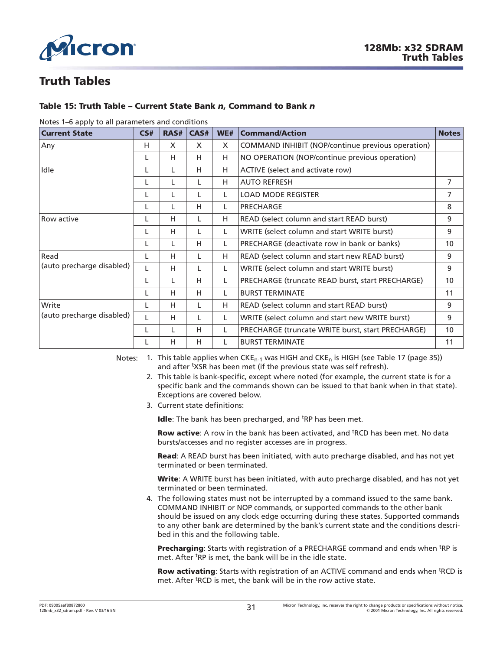<span id="page-30-0"></span>

### **Truth Tables**

### **Table 15: Truth Table – Current State Bank** *n***, Command to Bank** *n*

| <b>Current State</b>      | CS# | RAS# | CAS# | WE#      | <b>Command/Action</b>                             | <b>Notes</b>    |
|---------------------------|-----|------|------|----------|---------------------------------------------------|-----------------|
| Any                       | н   | X    | X    | $\times$ | COMMAND INHIBIT (NOP/continue previous operation) |                 |
|                           | L   | н    | H    | H        | NO OPERATION (NOP/continue previous operation)    |                 |
| Idle                      |     | L    | H    | н        | ACTIVE (select and activate row)                  |                 |
|                           |     | L    | L    | H        | <b>AUTO REFRESH</b>                               | 7               |
|                           |     | L    | L    | L        | <b>LOAD MODE REGISTER</b>                         | 7               |
|                           |     | L    | H    | L        | PRECHARGE                                         | 8               |
| Row active                |     | н    | L    | н        | READ (select column and start READ burst)         | 9               |
|                           |     | н    |      | L        | WRITE (select column and start WRITE burst)       | 9               |
|                           |     | L    | H    | L        | PRECHARGE (deactivate row in bank or banks)       | 10 <sup>°</sup> |
| Read                      |     | н    | L    | H        | READ (select column and start new READ burst)     | 9               |
| (auto precharge disabled) |     | н    | L    | L        | WRITE (select column and start WRITE burst)       | 9               |
|                           |     | L    | H    | L        | PRECHARGE (truncate READ burst, start PRECHARGE)  | 10              |
|                           |     | н    | H    | L        | <b>BURST TERMINATE</b>                            | 11              |
| Write                     |     | н    | L    | H        | READ (select column and start READ burst)         | 9               |
| (auto precharge disabled) |     | н    | L    | L        | WRITE (select column and start new WRITE burst)   | 9               |
|                           |     | L    | H    | L        | PRECHARGE (truncate WRITE burst, start PRECHARGE) | 10 <sup>°</sup> |
|                           |     | H    | H    | L        | <b>BURST TERMINATE</b>                            | 11              |

#### Notes 1–6 apply to all parameters and conditions

Notes: 1. This table applies when  $CKE_{n-1}$  was HIGH and  $CKE_n$  is HIGH (see [Table 17 \(page 35\)](#page-34-0)) and after <sup>t</sup>XSR has been met (if the previous state was self refresh).

- 2. This table is bank-specific, except where noted (for example, the current state is for a specific bank and the commands shown can be issued to that bank when in that state). Exceptions are covered below.
- 3. Current state definitions:

Idle: The bank has been precharged, and <sup>t</sup>RP has been met.

Row active: A row in the bank has been activated, and <sup>t</sup>RCD has been met. No data bursts/accesses and no register accesses are in progress.

**Read**: A READ burst has been initiated, with auto precharge disabled, and has not yet terminated or been terminated.

**Write**: A WRITE burst has been initiated, with auto precharge disabled, and has not yet terminated or been terminated.

4. The following states must not be interrupted by a command issued to the same bank. COMMAND INHIBIT or NOP commands, or supported commands to the other bank should be issued on any clock edge occurring during these states. Supported commands to any other bank are determined by the bank's current state and the conditions described in this and the following table.

Precharging: Starts with registration of a PRECHARGE command and ends when <sup>t</sup>RP is met. After <sup>t</sup>RP is met, the bank will be in the idle state.

Row activating: Starts with registration of an ACTIVE command and ends when <sup>t</sup>RCD is met. After <sup>t</sup>RCD is met, the bank will be in the row active state.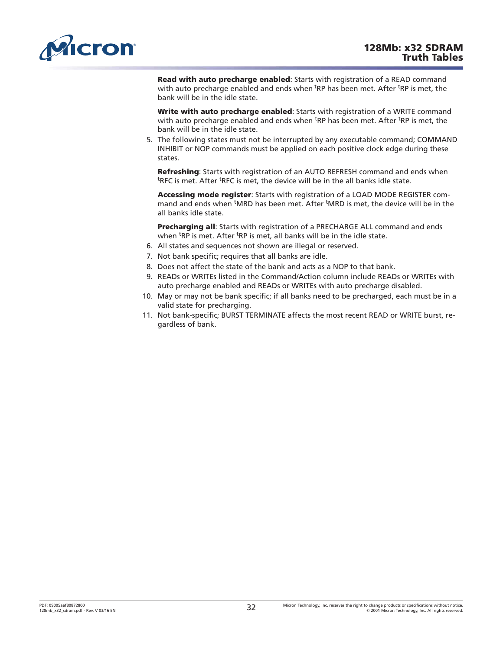<span id="page-31-0"></span>

**Read with auto precharge enabled**: Starts with registration of a READ command with auto precharge enabled and ends when <sup>t</sup>RP has been met. After <sup>t</sup>RP is met, the bank will be in the idle state.

**Write with auto precharge enabled**: Starts with registration of a WRITE command with auto precharge enabled and ends when <sup>t</sup>RP has been met. After <sup>t</sup>RP is met, the bank will be in the idle state.

5. The following states must not be interrupted by any executable command; COMMAND INHIBIT or NOP commands must be applied on each positive clock edge during these states.

**Refreshing**: Starts with registration of an AUTO REFRESH command and ends when <sup>t</sup>RFC is met. After <sup>t</sup>RFC is met, the device will be in the all banks idle state.

**Accessing mode register**: Starts with registration of a LOAD MODE REGISTER command and ends when <sup>t</sup>MRD has been met. After <sup>t</sup>MRD is met, the device will be in the all banks idle state.

**Precharging all**: Starts with registration of a PRECHARGE ALL command and ends when <sup>t</sup>RP is met. After <sup>t</sup>RP is met, all banks will be in the idle state.

- 6. All states and sequences not shown are illegal or reserved.
- 7. Not bank specific; requires that all banks are idle.
- 8. Does not affect the state of the bank and acts as a NOP to that bank.
- 9. READs or WRITEs listed in the Command/Action column include READs or WRITEs with auto precharge enabled and READs or WRITEs with auto precharge disabled.
- 10. May or may not be bank specific; if all banks need to be precharged, each must be in a valid state for precharging.
- 11. Not bank-specific; BURST TERMINATE affects the most recent READ or WRITE burst, regardless of bank.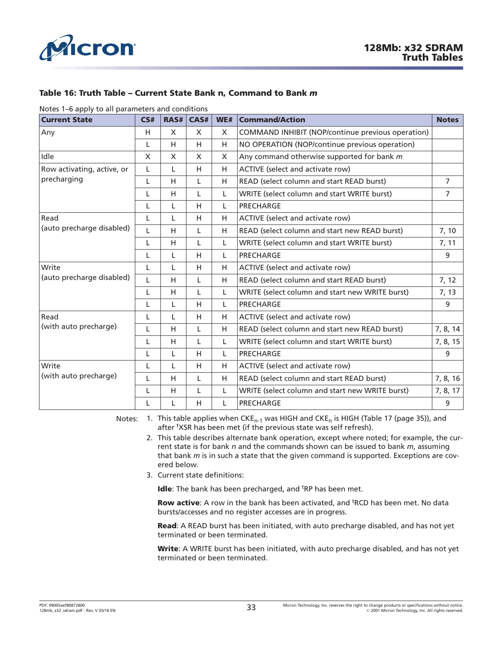<span id="page-32-0"></span>

### **Table 16: Truth Table – Current State Bank n, Command to Bank** *m*

Notes 1–6 apply to all parameters and conditions

| <b>Current State</b>       | CS#      | RAS#         | CAS#         | WE# | <b>Command/Action</b>                             | <b>Notes</b>   |
|----------------------------|----------|--------------|--------------|-----|---------------------------------------------------|----------------|
| Any                        | H        | $\mathsf{x}$ | $\mathsf{X}$ | X   | COMMAND INHIBIT (NOP/continue previous operation) |                |
|                            | L        | H            | H            | H   | NO OPERATION (NOP/continue previous operation)    |                |
| Idle                       | $\times$ | X            | $\times$     | X   | Any command otherwise supported for bank m        |                |
| Row activating, active, or | L        | L            | H            | H   | ACTIVE (select and activate row)                  |                |
| precharging                | L        | H            | L            | H   | READ (select column and start READ burst)         | $\overline{7}$ |
|                            | L        | H            | L            | L   | WRITE (select column and start WRITE burst)       | $\overline{7}$ |
|                            | L        | L            | H            | L   | PRECHARGE                                         |                |
| Read                       | L        | L            | H            | H   | ACTIVE (select and activate row)                  |                |
| (auto precharge disabled)  | L        | H            | L            | H   | READ (select column and start new READ burst)     | 7, 10          |
|                            | L        | H            | L            | L   | WRITE (select column and start WRITE burst)       | 7, 11          |
|                            | L        | L            | H            | L   | PRECHARGE                                         | 9              |
| Write                      | L        | L            | H            | H   | ACTIVE (select and activate row)                  |                |
| (auto precharge disabled)  | L        | H            | L            | H   | READ (select column and start READ burst)         | 7, 12          |
|                            | L        | H            | L            | L   | WRITE (select column and start new WRITE burst)   | 7, 13          |
|                            | L        | L            | H            | L.  | PRECHARGE                                         | 9              |
| Read                       | L        | L            | H            | H   | ACTIVE (select and activate row)                  |                |
| (with auto precharge)      | L        | H            | L            | H   | READ (select column and start new READ burst)     | 7, 8, 14       |
|                            | L        | H            | L            | L   | WRITE (select column and start WRITE burst)       | 7, 8, 15       |
|                            | L        | L            | H            | L   | PRECHARGE                                         | 9              |
| Write                      | L        | L            | H            | H   | ACTIVE (select and activate row)                  |                |
| (with auto precharge)      | L        | H            | L            | H   | READ (select column and start READ burst)         | 7, 8, 16       |
|                            | L        | H            | L            | L   | WRITE (select column and start new WRITE burst)   | 7, 8, 17       |
|                            | L        | L            | H            | L   | PRECHARGE                                         | 9              |

Notes: 1. This table applies when CKE<sub>n-1</sub> was HIGH and CKE<sub>n</sub> is HIGH ([Table 17 \(page 35\)](#page-34-0)), and after <sup>t</sup>XSR has been met (if the previous state was self refresh).

- 2. This table describes alternate bank operation, except where noted; for example, the current state is for bank *n* and the commands shown can be issued to bank *m*, assuming that bank *m* is in such a state that the given command is supported. Exceptions are covered below.
- 3. Current state definitions:

Idle: The bank has been precharged, and <sup>t</sup>RP has been met.

Row active: A row in the bank has been activated, and <sup>t</sup>RCD has been met. No data bursts/accesses and no register accesses are in progress.

**Read**: A READ burst has been initiated, with auto precharge disabled, and has not yet terminated or been terminated.

**Write**: A WRITE burst has been initiated, with auto precharge disabled, and has not yet terminated or been terminated.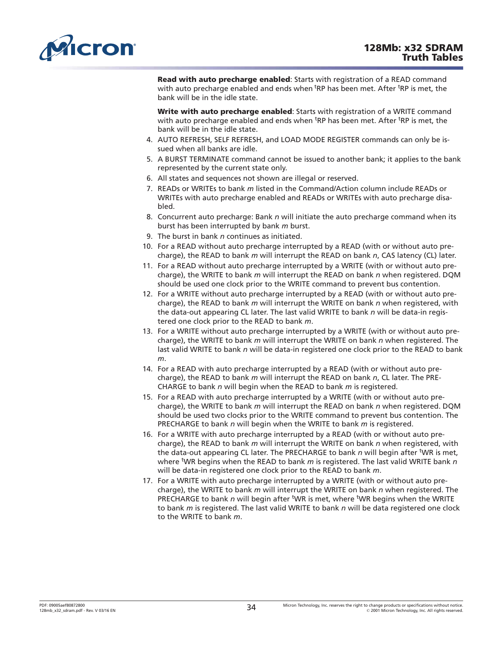<span id="page-33-0"></span>

**Read with auto precharge enabled**: Starts with registration of a READ command with auto precharge enabled and ends when <sup>t</sup>RP has been met. After <sup>t</sup>RP is met, the bank will be in the idle state.

**Write with auto precharge enabled**: Starts with registration of a WRITE command with auto precharge enabled and ends when <sup>t</sup>RP has been met. After <sup>t</sup>RP is met, the bank will be in the idle state.

- 4. AUTO REFRESH, SELF REFRESH, and LOAD MODE REGISTER commands can only be issued when all banks are idle.
- 5. A BURST TERMINATE command cannot be issued to another bank; it applies to the bank represented by the current state only.
- 6. All states and sequences not shown are illegal or reserved.
- 7. READs or WRITEs to bank *m* listed in the Command/Action column include READs or WRITEs with auto precharge enabled and READs or WRITEs with auto precharge disabled.
- 8. Concurrent auto precharge: Bank *n* will initiate the auto precharge command when its burst has been interrupted by bank *m* burst.
- 9. The burst in bank *n* continues as initiated.
- 10. For a READ without auto precharge interrupted by a READ (with or without auto precharge), the READ to bank *m* will interrupt the READ on bank *n*, CAS latency (CL) later.
- 11. For a READ without auto precharge interrupted by a WRITE (with or without auto precharge), the WRITE to bank *m* will interrupt the READ on bank *n* when registered. DQM should be used one clock prior to the WRITE command to prevent bus contention.
- 12. For a WRITE without auto precharge interrupted by a READ (with or without auto precharge), the READ to bank *m* will interrupt the WRITE on bank *n* when registered, with the data-out appearing CL later. The last valid WRITE to bank *n* will be data-in registered one clock prior to the READ to bank *m*.
- 13. For a WRITE without auto precharge interrupted by a WRITE (with or without auto precharge), the WRITE to bank *m* will interrupt the WRITE on bank *n* when registered. The last valid WRITE to bank *n* will be data-in registered one clock prior to the READ to bank *m*.
- 14. For a READ with auto precharge interrupted by a READ (with or without auto precharge), the READ to bank *m* will interrupt the READ on bank *n*, CL later. The PRE-CHARGE to bank *n* will begin when the READ to bank *m* is registered.
- 15. For a READ with auto precharge interrupted by a WRITE (with or without auto precharge), the WRITE to bank *m* will interrupt the READ on bank *n* when registered. DQM should be used two clocks prior to the WRITE command to prevent bus contention. The PRECHARGE to bank *n* will begin when the WRITE to bank *m* is registered.
- 16. For a WRITE with auto precharge interrupted by a READ (with or without auto precharge), the READ to bank *m* will interrupt the WRITE on bank *n* when registered, with the data-out appearing CL later. The PRECHARGE to bank *n* will begin after <sup>t</sup>WR is met, where t WR begins when the READ to bank *m* is registered. The last valid WRITE bank *n* will be data-in registered one clock prior to the READ to bank *m*.
- 17. For a WRITE with auto precharge interrupted by a WRITE (with or without auto precharge), the WRITE to bank *m* will interrupt the WRITE on bank *n* when registered. The PRECHARGE to bank *n* will begin after <sup>t</sup>WR is met, where <sup>t</sup>WR begins when the WRITE to bank *m* is registered. The last valid WRITE to bank *n* will be data registered one clock to the WRITE to bank *m*.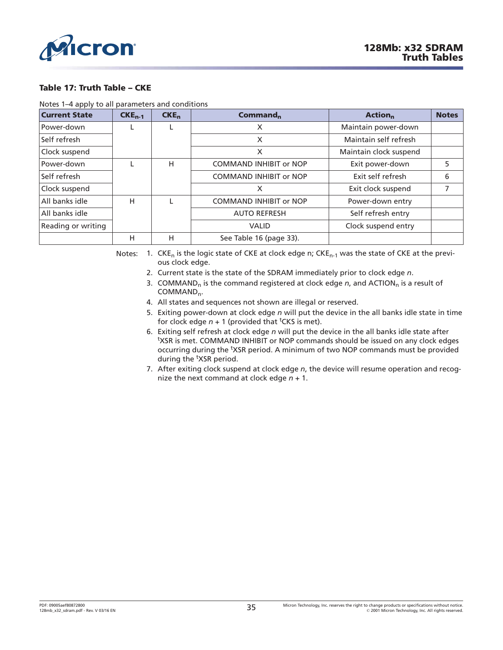<span id="page-34-0"></span>

#### **Table 17: Truth Table – CKE**

Notes 1–4 apply to all parameters and conditions

| <b>Current State</b> | $CKE_{n-1}$ | $CKE_n$ | Command <sub>n</sub>          | <b>Action</b> <sub>n</sub> | <b>Notes</b> |
|----------------------|-------------|---------|-------------------------------|----------------------------|--------------|
| Power-down           | L           |         | X                             | Maintain power-down        |              |
| Self refresh         |             |         | X                             | Maintain self refresh      |              |
| Clock suspend        |             |         | X                             | Maintain clock suspend     |              |
| Power-down           |             | н       | <b>COMMAND INHIBIT or NOP</b> | Exit power-down            | 5.           |
| Self refresh         |             |         | <b>COMMAND INHIBIT or NOP</b> | Exit self refresh          | 6            |
| Clock suspend        |             |         | X                             | Exit clock suspend         |              |
| All banks idle       | н           |         | <b>COMMAND INHIBIT or NOP</b> | Power-down entry           |              |
| All banks idle       |             |         | <b>AUTO REFRESH</b>           | Self refresh entry         |              |
| Reading or writing   |             |         | <b>VALID</b>                  | Clock suspend entry        |              |
|                      | н           | H       | See Table 16 (page 33).       |                            |              |

Notes: 1.  $CKE_n$  is the logic state of CKE at clock edge n;  $CKE_{n-1}$  was the state of CKE at the previous clock edge.

- 2. Current state is the state of the SDRAM immediately prior to clock edge *n*.
- 3. COMMAND<sub>n</sub> is the command registered at clock edge *n*, and ACTION<sub>n</sub> is a result of COMMAND<sub>n</sub>.
- 4. All states and sequences not shown are illegal or reserved.
- 5. Exiting power-down at clock edge *n* will put the device in the all banks idle state in time for clock edge  $n + 1$  (provided that <sup>t</sup>CKS is met).
- 6. Exiting self refresh at clock edge *n* will put the device in the all banks idle state after <sup>t</sup>XSR is met. COMMAND INHIBIT or NOP commands should be issued on any clock edges occurring during the <sup>t</sup>XSR period. A minimum of two NOP commands must be provided during the <sup>t</sup>XSR period.
- 7. After exiting clock suspend at clock edge *n*, the device will resume operation and recognize the next command at clock edge *n* + 1.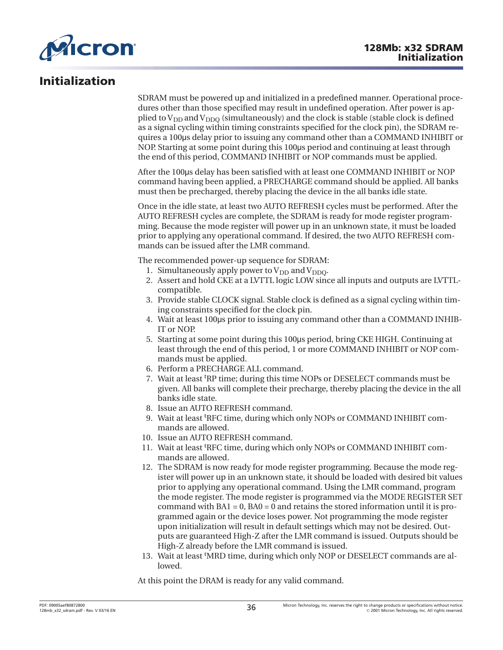<span id="page-35-0"></span>

### **Initialization**

SDRAM must be powered up and initialized in a predefined manner. Operational procedures other than those specified may result in undefined operation. After power is applied to  $V_{DD}$  and  $V_{DDO}$  (simultaneously) and the clock is stable (stable clock is defined as a signal cycling within timing constraints specified for the clock pin), the SDRAM requires a 100˩s delay prior to issuing any command other than a COMMAND INHIBIT or NOP. Starting at some point during this 100µs period and continuing at least through the end of this period, COMMAND INHIBIT or NOP commands must be applied.

After the 100˩s delay has been satisfied with at least one COMMAND INHIBIT or NOP command having been applied, a PRECHARGE command should be applied. All banks must then be precharged, thereby placing the device in the all banks idle state.

Once in the idle state, at least two AUTO REFRESH cycles must be performed. After the AUTO REFRESH cycles are complete, the SDRAM is ready for mode register programming. Because the mode register will power up in an unknown state, it must be loaded prior to applying any operational command. If desired, the two AUTO REFRESH commands can be issued after the LMR command.

The recommended power-up sequence for SDRAM:

- 1. Simultaneously apply power to  $V_{DD}$  and  $V_{DDO}$ .
- 2. Assert and hold CKE at a LVTTL logic LOW since all inputs and outputs are LVTTLcompatible.
- 3. Provide stable CLOCK signal. Stable clock is defined as a signal cycling within timing constraints specified for the clock pin.
- 4. Wait at least 100˩s prior to issuing any command other than a COMMAND INHIB-IT or NOP.
- 5. Starting at some point during this 100µs period, bring CKE HIGH. Continuing at least through the end of this period, 1 or more COMMAND INHIBIT or NOP commands must be applied.
- 6. Perform a PRECHARGE ALL command.
- 7. Wait at least t RP time; during this time NOPs or DESELECT commands must be given. All banks will complete their precharge, thereby placing the device in the all banks idle state.
- 8. Issue an AUTO REFRESH command.
- 9. Wait at least t RFC time, during which only NOPs or COMMAND INHIBIT commands are allowed.
- 10. Issue an AUTO REFRESH command.
- 11. Wait at least <sup>t</sup> RFC time, during which only NOPs or COMMAND INHIBIT commands are allowed.
- 12. The SDRAM is now ready for mode register programming. Because the mode register will power up in an unknown state, it should be loaded with desired bit values prior to applying any operational command. Using the LMR command, program the mode register. The mode register is programmed via the MODE REGISTER SET command with  $BA1 = 0$ ,  $BA0 = 0$  and retains the stored information until it is programmed again or the device loses power. Not programming the mode register upon initialization will result in default settings which may not be desired. Outputs are guaranteed High-Z after the LMR command is issued. Outputs should be High-Z already before the LMR command is issued.
- 13. Wait at least 'MRD time, during which only NOP or DESELECT commands are allowed.

At this point the DRAM is ready for any valid command.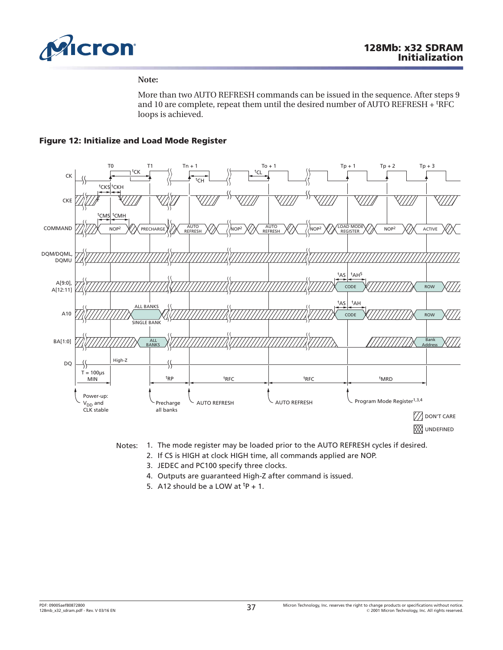

#### **Note:**

More than two AUTO REFRESH commands can be issued in the sequence. After steps 9 and 10 are complete, repeat them until the desired number of AUTO REFRESH + <sup>t</sup>RFC loops is achieved.

# **Figure 12: Initialize and Load Mode Register**





- Notes: 1. The mode register may be loaded prior to the AUTO REFRESH cycles if desired.
	- 2. If CS is HIGH at clock HIGH time, all commands applied are NOP.
	- 3. JEDEC and PC100 specify three clocks.
	- 4. Outputs are guaranteed High-Z after command is issued.
	- 5. A12 should be a LOW at  $tp + 1$ .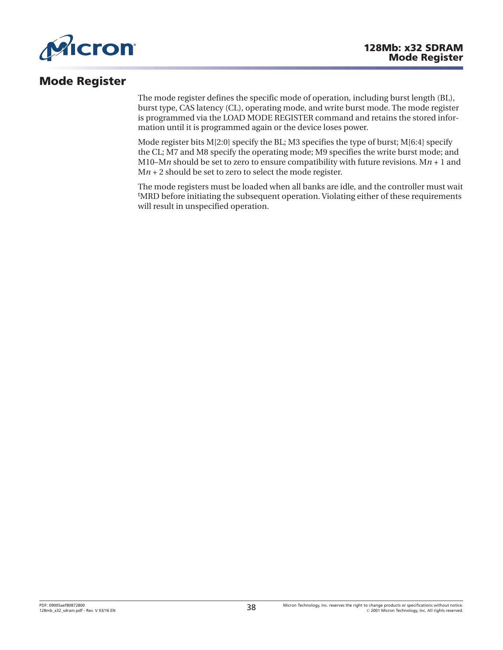

# **Mode Register**

The mode register defines the specific mode of operation, including burst length (BL), burst type, CAS latency (CL), operating mode, and write burst mode. The mode register is programmed via the LOAD MODE REGISTER command and retains the stored information until it is programmed again or the device loses power.

Mode register bits  $M[2:0]$  specify the BL; M3 specifies the type of burst;  $M[6:4]$  specify the CL; M7 and M8 specify the operating mode; M9 specifies the write burst mode; and M10–M*n* should be set to zero to ensure compatibility with future revisions. M $n + 1$  and M*n* + 2 should be set to zero to select the mode register.

The mode registers must be loaded when all banks are idle, and the controller must wait t MRD before initiating the subsequent operation. Violating either of these requirements will result in unspecified operation.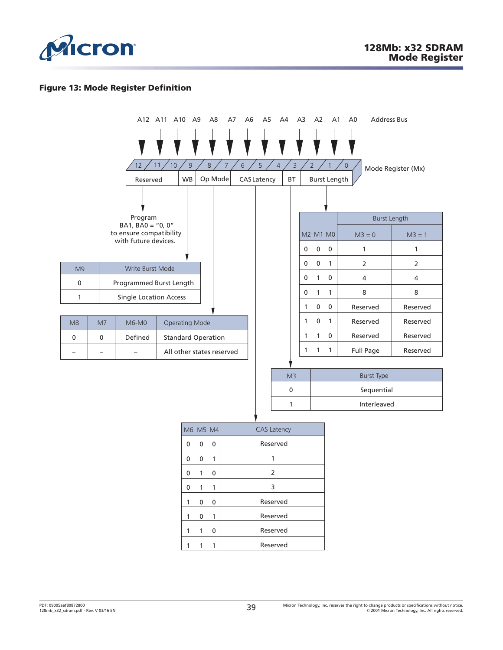

## **Figure 13: Mode Register Definition**

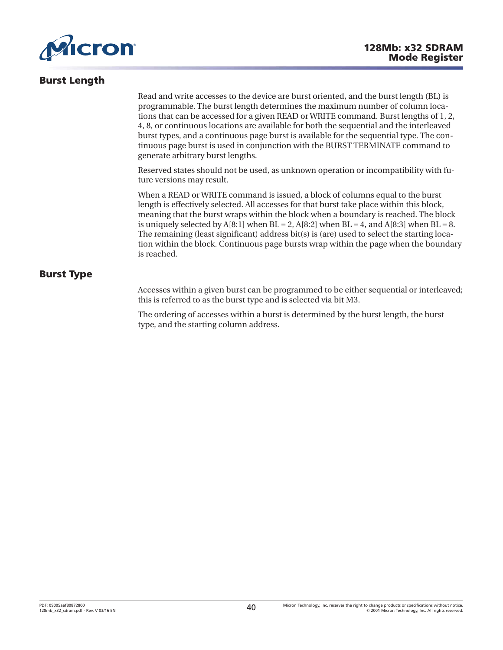<span id="page-39-0"></span>

# **Burst Length**

Read and write accesses to the device are burst oriented, and the burst length (BL) is programmable. The burst length determines the maximum number of column locations that can be accessed for a given READ or WRITE command. Burst lengths of 1, 2, 4, 8, or continuous locations are available for both the sequential and the interleaved burst types, and a continuous page burst is available for the sequential type. The continuous page burst is used in conjunction with the BURST TERMINATE command to generate arbitrary burst lengths.

Reserved states should not be used, as unknown operation or incompatibility with future versions may result.

When a READ or WRITE command is issued, a block of columns equal to the burst length is effectively selected. All accesses for that burst take place within this block, meaning that the burst wraps within the block when a boundary is reached. The block is uniquely selected by  $A[8:1]$  when  $BL = 2$ ,  $A[8:2]$  when  $BL = 4$ , and  $A[8:3]$  when  $BL = 8$ . The remaining (least significant) address bit(s) is (are) used to select the starting location within the block. Continuous page bursts wrap within the page when the boundary is reached.

# **Burst Type**

Accesses within a given burst can be programmed to be either sequential or interleaved; this is referred to as the burst type and is selected via bit M3.

The ordering of accesses within a burst is determined by the burst length, the burst type, and the starting column address.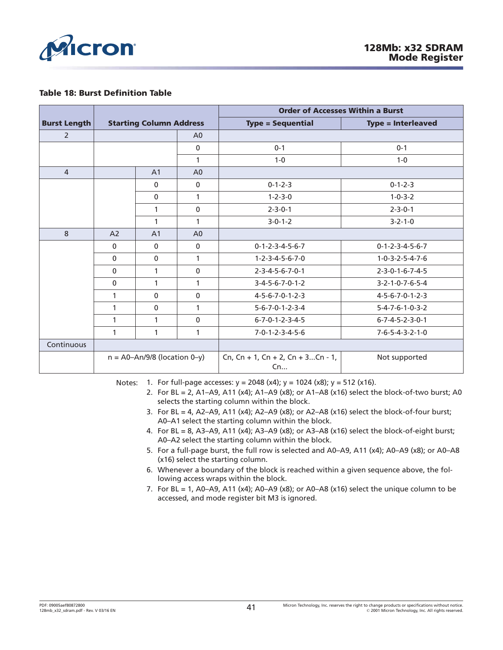

#### **Table 18: Burst Definition Table**

|                     | <b>Starting Column Address</b>   |                |                | <b>Order of Accesses Within a Burst</b> |                                 |
|---------------------|----------------------------------|----------------|----------------|-----------------------------------------|---------------------------------|
| <b>Burst Length</b> |                                  |                |                | <b>Type = Sequential</b>                | <b>Type = Interleaved</b>       |
| $\overline{2}$      |                                  |                | A <sub>0</sub> |                                         |                                 |
|                     |                                  |                | $\mathbf{0}$   | $0 - 1$                                 | $0 - 1$                         |
|                     |                                  |                | 1              | $1 - 0$                                 | $1 - 0$                         |
| $\overline{4}$      |                                  | A <sub>1</sub> | A <sub>0</sub> |                                         |                                 |
|                     |                                  | $\mathbf{0}$   | $\mathbf 0$    | $0 - 1 - 2 - 3$                         | $0 - 1 - 2 - 3$                 |
|                     |                                  | $\mathbf{0}$   | 1              | $1 - 2 - 3 - 0$                         | $1 - 0 - 3 - 2$                 |
|                     |                                  | 1              | $\mathbf{0}$   | $2 - 3 - 0 - 1$                         | $2 - 3 - 0 - 1$                 |
|                     |                                  | 1              | 1              | $3 - 0 - 1 - 2$                         | $3 - 2 - 1 - 0$                 |
| 8                   | A <sub>2</sub>                   | A <sub>1</sub> | A <sub>0</sub> |                                         |                                 |
|                     | $\mathbf{0}$                     | $\mathbf{0}$   | $\mathbf{0}$   | $0 - 1 - 2 - 3 - 4 - 5 - 6 - 7$         | $0 - 1 - 2 - 3 - 4 - 5 - 6 - 7$ |
|                     | $\mathbf{0}$                     | $\mathbf 0$    | $\mathbf{1}$   | $1 - 2 - 3 - 4 - 5 - 6 - 7 - 0$         | $1 - 0 - 3 - 2 - 5 - 4 - 7 - 6$ |
|                     | $\mathbf{0}$                     | 1              | $\mathbf{0}$   | $2 - 3 - 4 - 5 - 6 - 7 - 0 - 1$         | $2 - 3 - 0 - 1 - 6 - 7 - 4 - 5$ |
|                     | $\mathbf{0}$                     | 1              | 1              | $3 - 4 - 5 - 6 - 7 - 0 - 1 - 2$         | $3 - 2 - 1 - 0 - 7 - 6 - 5 - 4$ |
|                     | 1                                | $\mathbf{0}$   | $\mathbf{0}$   | $4 - 5 - 6 - 7 - 0 - 1 - 2 - 3$         | $4 - 5 - 6 - 7 - 0 - 1 - 2 - 3$ |
|                     | $\mathbf{1}$                     | $\mathbf{0}$   | 1              | $5 - 6 - 7 - 0 - 1 - 2 - 3 - 4$         | $5 - 4 - 7 - 6 - 1 - 0 - 3 - 2$ |
|                     | 1                                | 1              | $\mathbf 0$    | $6 - 7 - 0 - 1 - 2 - 3 - 4 - 5$         | $6 - 7 - 4 - 5 - 2 - 3 - 0 - 1$ |
|                     | 1                                | 1              | 1              | $7 - 0 - 1 - 2 - 3 - 4 - 5 - 6$         | $7 - 6 - 5 - 4 - 3 - 2 - 1 - 0$ |
| Continuous          |                                  |                |                |                                         |                                 |
|                     | $n = A0 - An/9/8$ (location 0-y) |                |                | Cn, Cn + 1, Cn + 2, Cn + 3Cn - 1,<br>Cn | Not supported                   |

Notes: 1. For full-page accesses:  $y = 2048$  (x4);  $y = 1024$  (x8);  $y = 512$  (x16).

- 2. For BL = 2, A1–A9, A11 (x4); A1–A9 (x8); or A1–A8 (x16) select the block-of-two burst; A0 selects the starting column within the block.
- 3. For BL = 4, A2-A9, A11 (x4); A2-A9 (x8); or A2-A8 (x16) select the block-of-four burst; A0–A1 select the starting column within the block.
- 4. For BL = 8, A3–A9, A11 (x4); A3–A9 (x8); or A3–A8 (x16) select the block-of-eight burst; A0–A2 select the starting column within the block.
- 5. For a full-page burst, the full row is selected and A0–A9, A11 (x4); A0–A9 (x8); or A0–A8 (x16) select the starting column.
- 6. Whenever a boundary of the block is reached within a given sequence above, the following access wraps within the block.
- 7. For BL = 1, A0–A9, A11 (x4); A0–A9 (x8); or A0–A8 (x16) select the unique column to be accessed, and mode register bit M3 is ignored.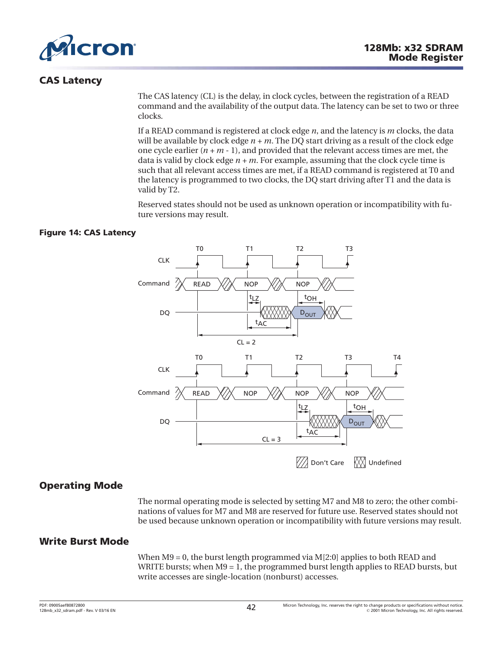

# **CAS Latency**

The CAS latency (CL) is the delay, in clock cycles, between the registration of a READ command and the availability of the output data. The latency can be set to two or three clocks.

If a READ command is registered at clock edge *n*, and the latency is *m* clocks, the data will be available by clock edge *n + m*. The DQ start driving as a result of the clock edge one cycle earlier  $(n + m - 1)$ , and provided that the relevant access times are met, the data is valid by clock edge *n + m*. For example, assuming that the clock cycle time is such that all relevant access times are met, if a READ command is registered at T0 and the latency is programmed to two clocks, the DQ start driving after T1 and the data is valid by T2.

Reserved states should not be used as unknown operation or incompatibility with future versions may result.

# **Figure 14: CAS Latency**



# **Operating Mode**

The normal operating mode is selected by setting M7 and M8 to zero; the other combinations of values for M7 and M8 are reserved for future use. Reserved states should not be used because unknown operation or incompatibility with future versions may result.

# **Write Burst Mode**

When M9 = 0, the burst length programmed via M[2:0] applies to both READ and WRITE bursts; when  $M9 = 1$ , the programmed burst length applies to READ bursts, but write accesses are single-location (nonburst) accesses.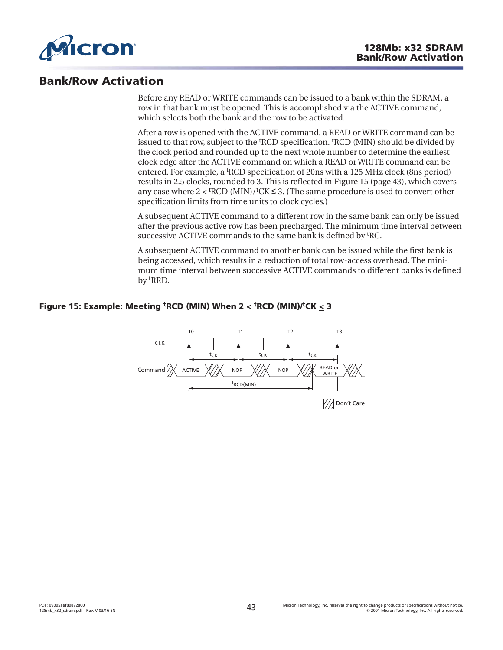

# **Bank/Row Activation**

Before any READ or WRITE commands can be issued to a bank within the SDRAM, a row in that bank must be opened. This is accomplished via the ACTIVE command, which selects both the bank and the row to be activated.

After a row is opened with the ACTIVE command, a READ or WRITE command can be issued to that row, subject to the <sup>t</sup>RCD specification. <sup>t</sup>RCD (MIN) should be divided by the clock period and rounded up to the next whole number to determine the earliest clock edge after the ACTIVE command on which a READ or WRITE command can be entered. For example, a <sup>t</sup> RCD specification of 20ns with a 125 MHz clock (8ns period) results in 2.5 clocks, rounded to 3. This is reflected in Figure 15 (page 43), which covers any case where  $2 <$  <sup>t</sup>RCD (MIN)/<sup>t</sup>CK  $\leq$  3. (The same procedure is used to convert other specification limits from time units to clock cycles.)

A subsequent ACTIVE command to a different row in the same bank can only be issued after the previous active row has been precharged. The minimum time interval between successive ACTIVE commands to the same bank is defined by <sup>t</sup>RC.

A subsequent ACTIVE command to another bank can be issued while the first bank is being accessed, which results in a reduction of total row-access overhead. The minimum time interval between successive ACTIVE commands to different banks is defined by t RRD.

# **Figure 15: Example: Meeting <sup>t</sup> RCD (MIN) When 2 < <sup>t</sup> RCD (MIN)/<sup>t</sup> CK < 3**

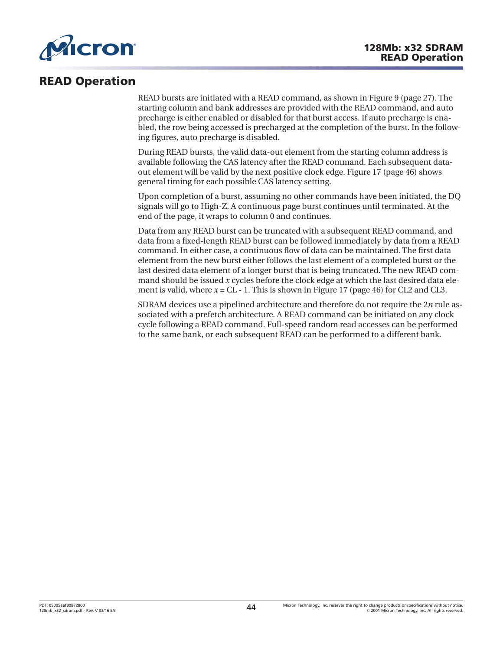

# **READ Operation**

READ bursts are initiated with a READ command, as shown in [Figure 9 \(page 27\)](#page-26-0). The starting column and bank addresses are provided with the READ command, and auto precharge is either enabled or disabled for that burst access. If auto precharge is enabled, the row being accessed is precharged at the completion of the burst. In the following figures, auto precharge is disabled.

During READ bursts, the valid data-out element from the starting column address is available following the CAS latency after the READ command. Each subsequent dataout element will be valid by the next positive clock edge. [Figure 17](#page-45-0) ([page 46](#page-45-0)) shows general timing for each possible CAS latency setting.

Upon completion of a burst, assuming no other commands have been initiated, the DQ signals will go to High-Z. A continuous page burst continues until terminated. At the end of the page, it wraps to column 0 and continues.

Data from any READ burst can be truncated with a subsequent READ command, and data from a fixed-length READ burst can be followed immediately by data from a READ command. In either case, a continuous flow of data can be maintained. The first data element from the new burst either follows the last element of a completed burst or the last desired data element of a longer burst that is being truncated. The new READ command should be issued *x* cycles before the clock edge at which the last desired data element is valid, where  $x = CL - 1$ . This is shown in [Figure 17](#page-45-0) [\(page 46\)](#page-45-0) for CL2 and CL3.

SDRAM devices use a pipelined architecture and therefore do not require the 2*n* rule associated with a prefetch architecture. A READ command can be initiated on any clock cycle following a READ command. Full-speed random read accesses can be performed to the same bank, or each subsequent READ can be performed to a different bank.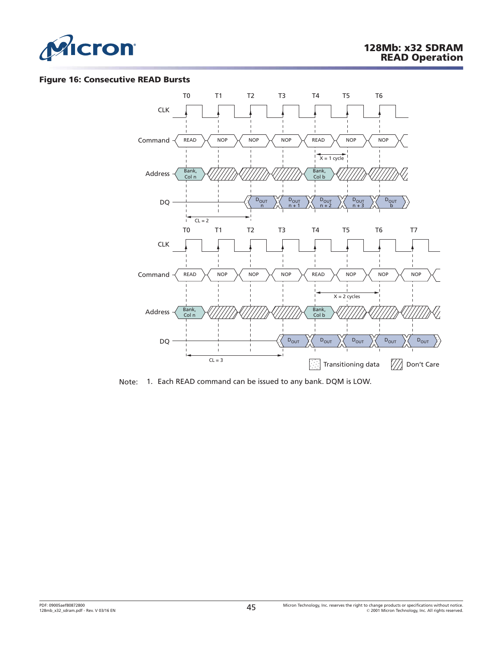

#### **Figure 16: Consecutive READ Bursts**



Note: 1. Each READ command can be issued to any bank. DQM is LOW.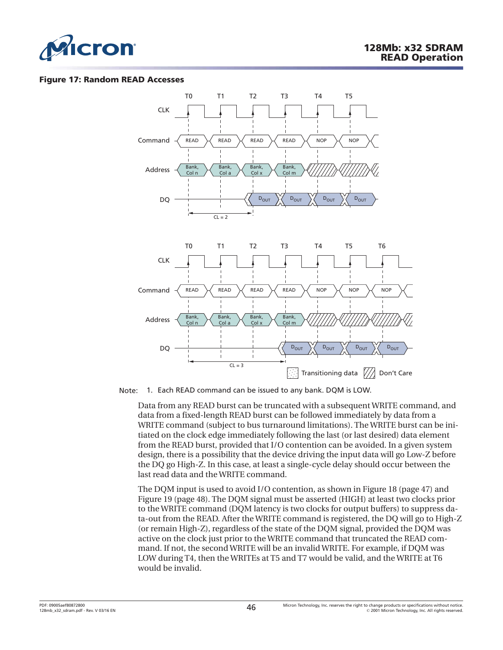<span id="page-45-0"></span>

#### **Figure 17: Random READ Accesses**



Note: 1. Each READ command can be issued to any bank. DQM is LOW.

Data from any READ burst can be truncated with a subsequent WRITE command, and data from a fixed-length READ burst can be followed immediately by data from a WRITE command (subject to bus turnaround limitations). The WRITE burst can be initiated on the clock edge immediately following the last (or last desired) data element from the READ burst, provided that I/O contention can be avoided. In a given system design, there is a possibility that the device driving the input data will go Low-Z before the DQ go High-Z. In this case, at least a single-cycle delay should occur between the last read data and the WRITE command.

The DQM input is used to avoid I/O contention, as shown in [Figure 18](#page-46-0) ([page 47](#page-46-0)) and [Figure 19 \(page 48\)](#page-47-0). The DQM signal must be asserted (HIGH) at least two clocks prior to the WRITE command (DQM latency is two clocks for output buffers) to suppress data-out from the READ. After the WRITE command is registered, the DQ will go to High-Z (or remain High-Z), regardless of the state of the DQM signal, provided the DQM was active on the clock just prior to the WRITE command that truncated the READ command. If not, the second WRITE will be an invalid WRITE. For example, if DQM was LOW during T4, then the WRITEs at T5 and T7 would be valid, and the WRITE at T6 would be invalid.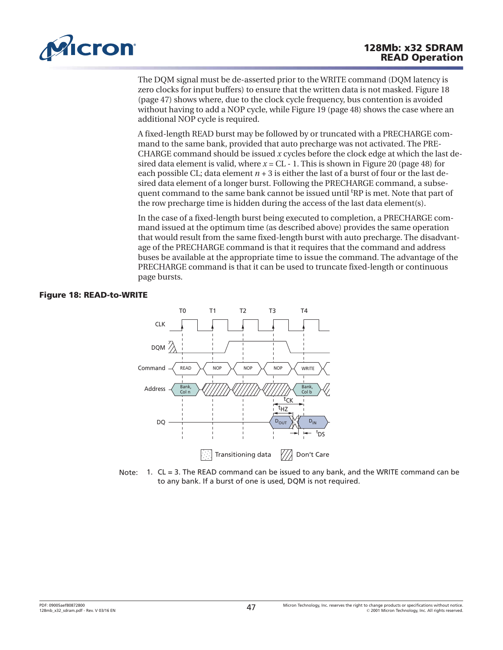<span id="page-46-0"></span>

The DQM signal must be de-asserted prior to the WRITE command (DQM latency is zero clocks for input buffers) to ensure that the written data is not masked. Figure 18 (page 47) shows where, due to the clock cycle frequency, bus contention is avoided without having to add a NOP cycle, while [Figure 19](#page-47-0) [\(page 48\)](#page-47-0) shows the case where an additional NOP cycle is required.

A fixed-length READ burst may be followed by or truncated with a PRECHARGE command to the same bank, provided that auto precharge was not activated. The PRE-CHARGE command should be issued *x* cycles before the clock edge at which the last desired data element is valid, where  $x = CL - 1$ . This is shown in [Figure 20](#page-47-0) ([page 48](#page-47-0)) for each possible CL; data element  $n + 3$  is either the last of a burst of four or the last desired data element of a longer burst. Following the PRECHARGE command, a subsequent command to the same bank cannot be issued until <sup>t</sup>RP is met. Note that part of the row precharge time is hidden during the access of the last data element(s).

In the case of a fixed-length burst being executed to completion, a PRECHARGE command issued at the optimum time (as described above) provides the same operation that would result from the same fixed-length burst with auto precharge. The disadvantage of the PRECHARGE command is that it requires that the command and address buses be available at the appropriate time to issue the command. The advantage of the PRECHARGE command is that it can be used to truncate fixed-length or continuous page bursts.

## **Figure 18: READ-to-WRITE**



Note: 1. CL = 3. The READ command can be issued to any bank, and the WRITE command can be to any bank. If a burst of one is used, DQM is not required.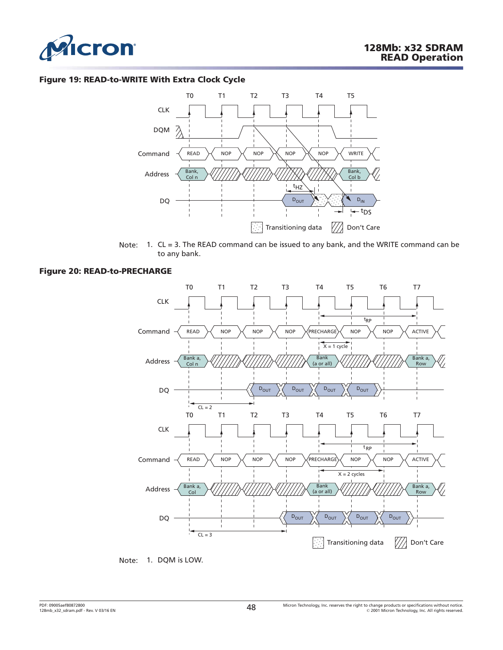<span id="page-47-0"></span>

#### **Figure 19: READ-to-WRITE With Extra Clock Cycle**



Note: 1. CL = 3. The READ command can be issued to any bank, and the WRITE command can be to any bank.

#### **Figure 20: READ-to-PRECHARGE**



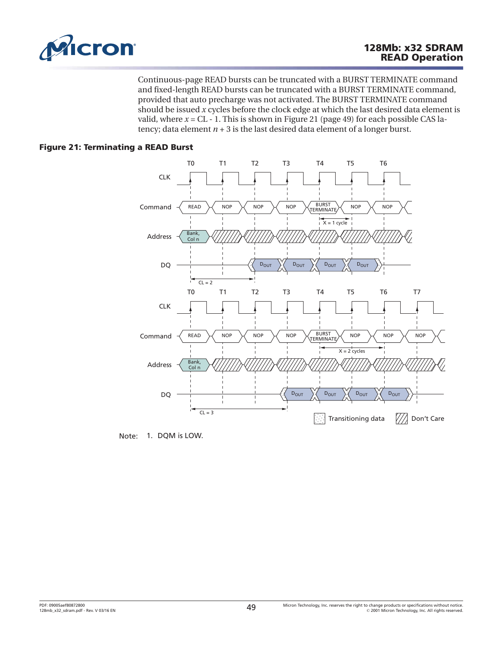

Continuous-page READ bursts can be truncated with a BURST TERMINATE command and fixed-length READ bursts can be truncated with a BURST TERMINATE command, provided that auto precharge was not activated. The BURST TERMINATE command should be issued *x* cycles before the clock edge at which the last desired data element is valid, where  $x = CL - 1$ . This is shown in Figure 21 (page 49) for each possible CAS latency; data element  $n + 3$  is the last desired data element of a longer burst.

# **Figure 21: Terminating a READ Burst**



Note: 1. DQM is LOW.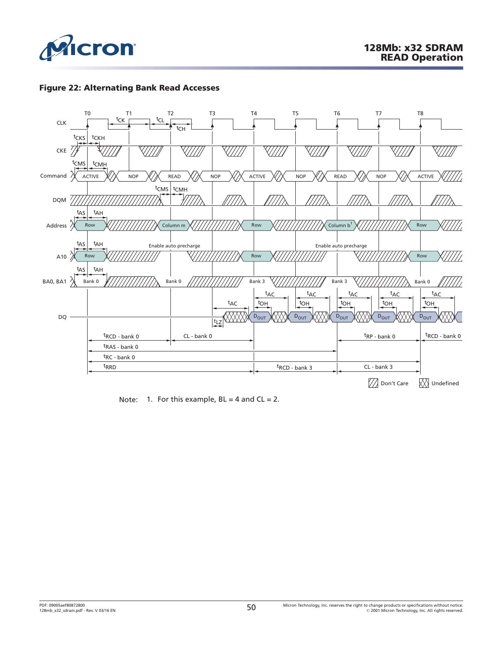

## **Figure 22: Alternating Bank Read Accesses**



Note: 1. For this example,  $BL = 4$  and  $CL = 2$ .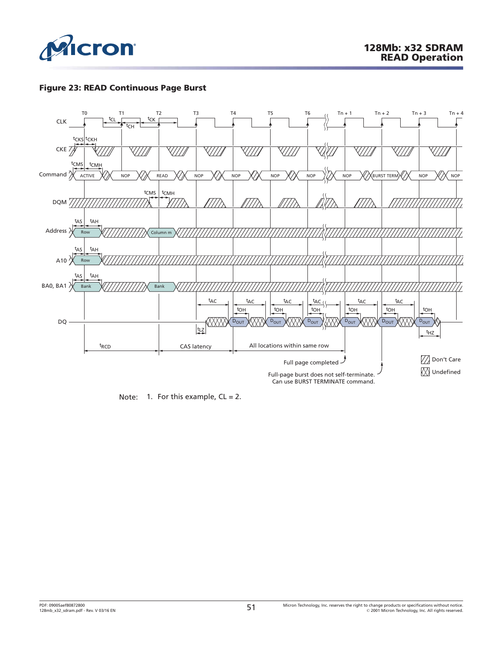

## **Figure 23: READ Continuous Page Burst**



Note: 1. For this example,  $CL = 2$ .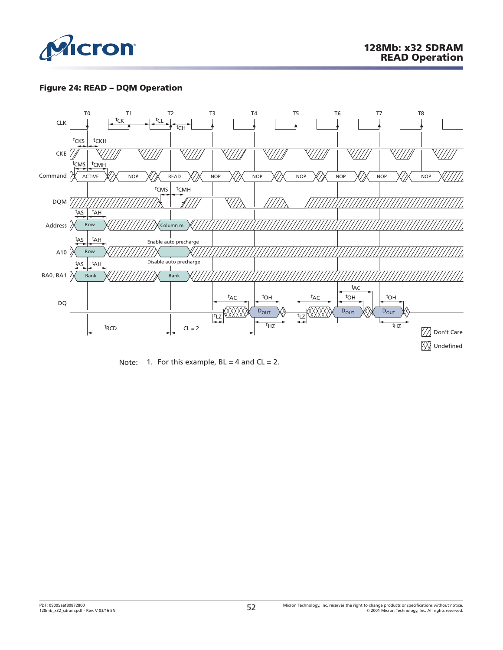

# **Figure 24: READ – DQM Operation**



Note: 1. For this example,  $BL = 4$  and  $CL = 2$ .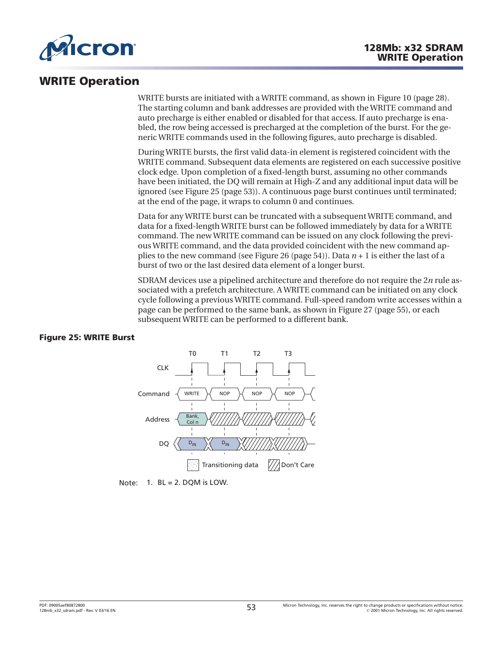

# **WRITE Operation**

WRITE bursts are initiated with a WRITE command, as shown in [Figure 10](#page-27-0) ([page 28](#page-27-0)). The starting column and bank addresses are provided with the WRITE command and auto precharge is either enabled or disabled for that access. If auto precharge is enabled, the row being accessed is precharged at the completion of the burst. For the generic WRITE commands used in the following figures, auto precharge is disabled.

During WRITE bursts, the first valid data-in element is registered coincident with the WRITE command. Subsequent data elements are registered on each successive positive clock edge. Upon completion of a fixed-length burst, assuming no other commands have been initiated, the DQ will remain at High-Z and any additional input data will be ignored (see Figure 25 (page 53)). A continuous page burst continues until terminated; at the end of the page, it wraps to column 0 and continues.

Data for any WRITE burst can be truncated with a subsequent WRITE command, and data for a fixed-length WRITE burst can be followed immediately by data for a WRITE command. The new WRITE command can be issued on any clock following the previous WRITE command, and the data provided coincident with the new command applies to the new command (see [Figure 26](#page-53-0) ([page 54](#page-53-0))). Data *n* + 1 is either the last of a burst of two or the last desired data element of a longer burst.

SDRAM devices use a pipelined architecture and therefore do not require the 2*n* rule associated with a prefetch architecture. A WRITE command can be initiated on any clock cycle following a previous WRITE command. Full-speed random write accesses within a page can be performed to the same bank, as shown in [Figure 27](#page-54-0) [\(page 55\)](#page-54-0), or each subsequent WRITE can be performed to a different bank.

## **Figure 25: WRITE Burst**



Note:  $1.$  BL = 2. DQM is LOW.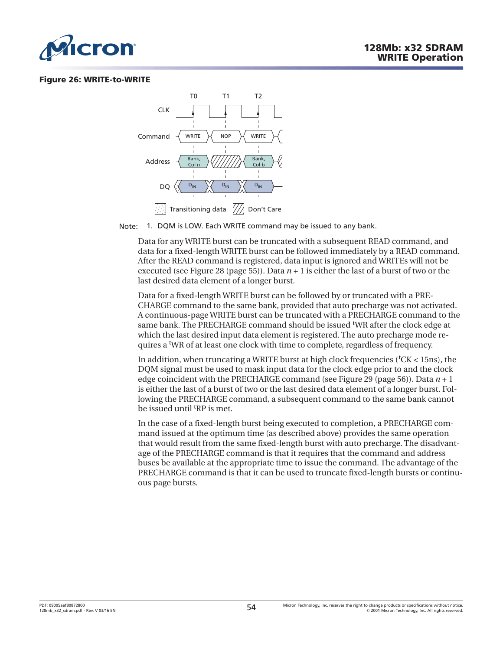<span id="page-53-0"></span>

#### **Figure 26: WRITE-to-WRITE**



Note: 1. DQM is LOW. Each WRITE command may be issued to any bank.

Data for any WRITE burst can be truncated with a subsequent READ command, and data for a fixed-length WRITE burst can be followed immediately by a READ command. After the READ command is registered, data input is ignored and WRITEs will not be executed (see [Figure 28](#page-54-0) ([page 55](#page-54-0))). Data  $n + 1$  is either the last of a burst of two or the last desired data element of a longer burst.

Data for a fixed-length WRITE burst can be followed by or truncated with a PRE-CHARGE command to the same bank, provided that auto precharge was not activated. A continuous-page WRITE burst can be truncated with a PRECHARGE command to the same bank. The PRECHARGE command should be issued <sup>t</sup>WR after the clock edge at which the last desired input data element is registered. The auto precharge mode requires a <sup>t</sup>WR of at least one clock with time to complete, regardless of frequency.

In addition, when truncating a WRITE burst at high clock frequencies (<sup>t</sup>CK < 15ns), the DQM signal must be used to mask input data for the clock edge prior to and the clock edge coincident with the PRECHARGE command (see [Figure 29](#page-55-0) ([page 56](#page-55-0))). Data *n* + 1 is either the last of a burst of two or the last desired data element of a longer burst. Following the PRECHARGE command, a subsequent command to the same bank cannot be issued until <sup>t</sup>RP is met.

In the case of a fixed-length burst being executed to completion, a PRECHARGE command issued at the optimum time (as described above) provides the same operation that would result from the same fixed-length burst with auto precharge. The disadvantage of the PRECHARGE command is that it requires that the command and address buses be available at the appropriate time to issue the command. The advantage of the PRECHARGE command is that it can be used to truncate fixed-length bursts or continuous page bursts.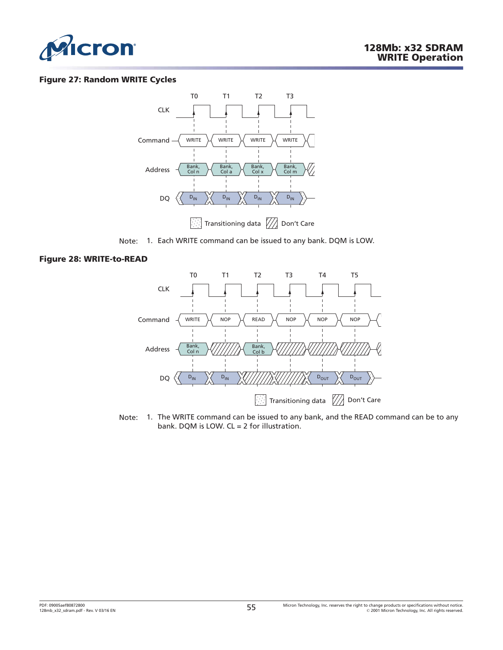<span id="page-54-0"></span>

#### **Figure 27: Random WRITE Cycles**



Note: 1. Each WRITE command can be issued to any bank. DQM is LOW.

#### **Figure 28: WRITE-to-READ**



Note: 1. The WRITE command can be issued to any bank, and the READ command can be to any bank. DQM is LOW. CL = 2 for illustration.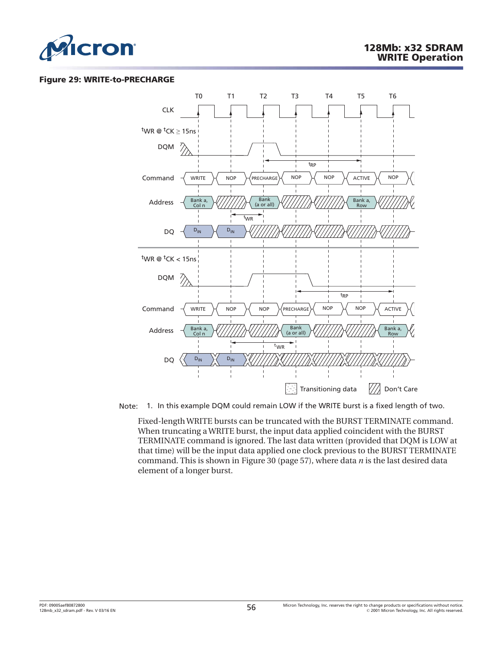<span id="page-55-0"></span>

#### **Figure 29: WRITE-to-PRECHARGE**



Note: 1. In this example DQM could remain LOW if the WRITE burst is a fixed length of two.

Fixed-length WRITE bursts can be truncated with the BURST TERMINATE command. When truncating a WRITE burst, the input data applied coincident with the BURST TERMINATE command is ignored. The last data written (provided that DQM is LOW at that time) will be the input data applied one clock previous to the BURST TERMINATE command. This is shown in [Figure 30 \(page 57\)](#page-56-0), where data *n* is the last desired data element of a longer burst.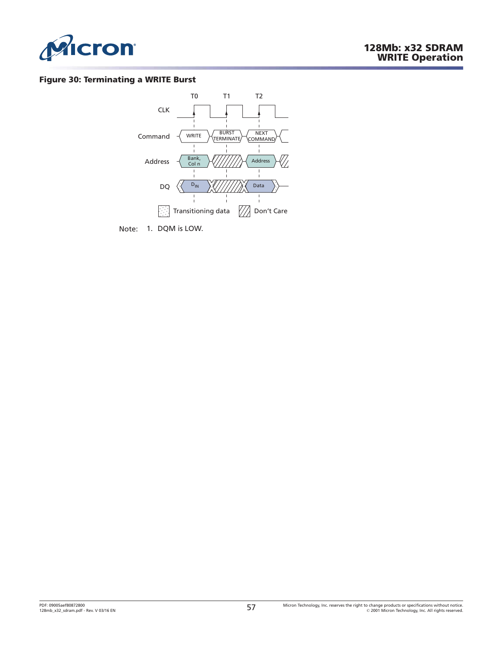<span id="page-56-0"></span>

#### **Figure 30: Terminating a WRITE Burst**



Note: 1. DQM is LOW.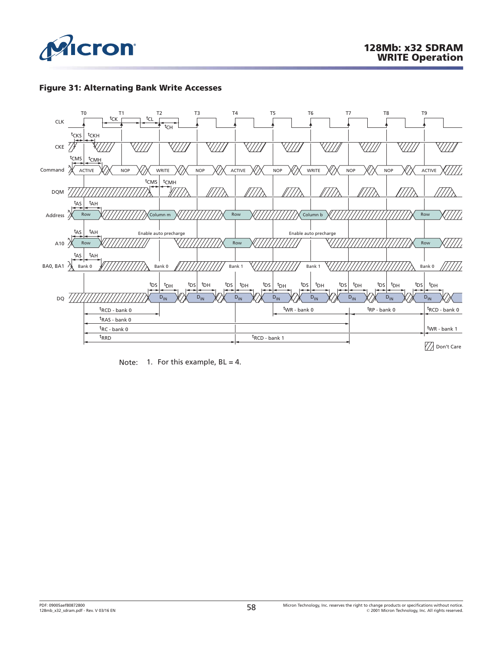

# **Figure 31: Alternating Bank Write Accesses**



Note: 1. For this example,  $BL = 4$ .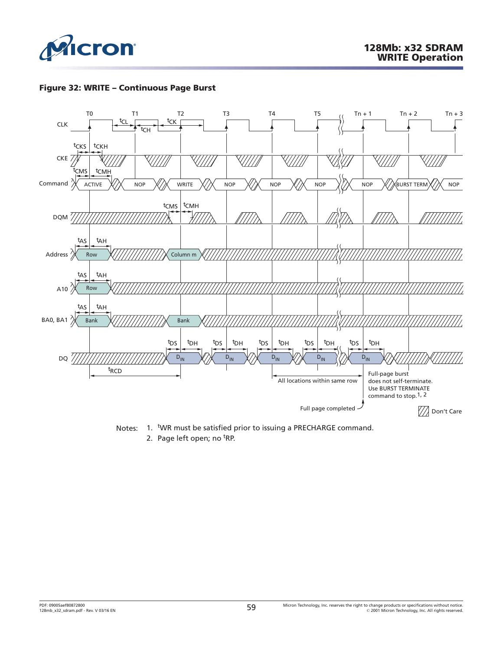

# **Figure 32: WRITE – Continuous Page Burst**



Notes: 1. WR must be satisfied prior to issuing a PRECHARGE command.

2. Page left open; no <sup>t</sup>RP.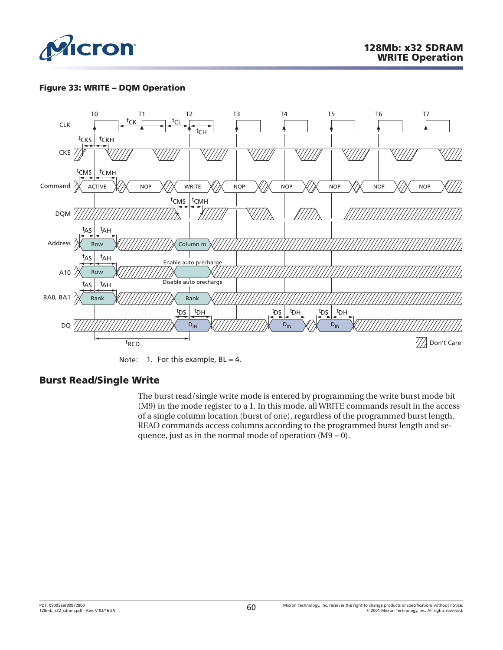

# **Figure 33: WRITE – DQM Operation**



Note: 1. For this example,  $BL = 4$ .

# **Burst Read/Single Write**

The burst read/single write mode is entered by programming the write burst mode bit (M9) in the mode register to a 1. In this mode, all WRITE commands result in the access of a single column location (burst of one), regardless of the programmed burst length. READ commands access columns according to the programmed burst length and sequence, just as in the normal mode of operation (M9 = 0).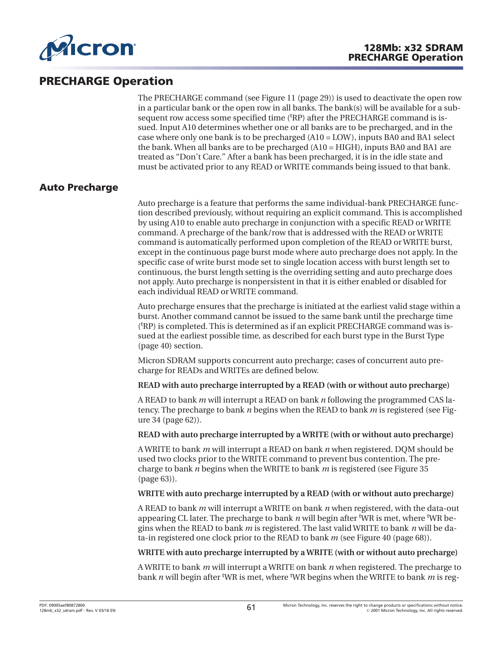

# **PRECHARGE Operation**

The PRECHARGE command (see [Figure 11](#page-28-0) ([page 29](#page-28-0))) is used to deactivate the open row in a particular bank or the open row in all banks. The bank(s) will be available for a subsequent row access some specified time ('RP) after the PRECHARGE command is issued. Input A10 determines whether one or all banks are to be precharged, and in the case where only one bank is to be precharged (A10 = LOW), inputs BA0 and BA1 select the bank. When all banks are to be precharged (A10 = HIGH), inputs BA0 and BA1 are treated as "Don't Care." After a bank has been precharged, it is in the idle state and must be activated prior to any READ or WRITE commands being issued to that bank.

# **Auto Precharge**

Auto precharge is a feature that performs the same individual-bank PRECHARGE function described previously, without requiring an explicit command. This is accomplished by using A10 to enable auto precharge in conjunction with a specific READ or WRITE command. A precharge of the bank/row that is addressed with the READ or WRITE command is automatically performed upon completion of the READ or WRITE burst, except in the continuous page burst mode where auto precharge does not apply. In the specific case of write burst mode set to single location access with burst length set to continuous, the burst length setting is the overriding setting and auto precharge does not apply. Auto precharge is nonpersistent in that it is either enabled or disabled for each individual READ or WRITE command.

Auto precharge ensures that the precharge is initiated at the earliest valid stage within a burst. Another command cannot be issued to the same bank until the precharge time (t RP) is completed. This is determined as if an explicit PRECHARGE command was issued at the earliest possible time, as described for each burst type in the [Burst Type](#page-39-0) ([page 40](#page-39-0)) section.

Micron SDRAM supports concurrent auto precharge; cases of concurrent auto precharge for READs and WRITEs are defined below.

**READ with auto precharge interrupted by a READ (with or without auto precharge)**

A READ to bank *m* will interrupt a READ on bank *n* following the programmed CAS latency. The precharge to bank *n* begins when the READ to bank *m* is registered (see [Fig](#page-61-0)[ure 34 \(page 62\)](#page-61-0)).

#### **READ with auto precharge interrupted by a WRITE (with or without auto precharge)**

A WRITE to bank *m* will interrupt a READ on bank *n* when registered. DQM should be used two clocks prior to the WRITE command to prevent bus contention. The precharge to bank *n* begins when the WRITE to bank *m* is registered (see [Figure 35](#page-62-0) ([page 63\)](#page-62-0)).

## **WRITE with auto precharge interrupted by a READ (with or without auto precharge)**

A READ to bank *m* will interrupt a WRITE on bank *n* when registered, with the data-out appearing CL later. The precharge to bank *n* will begin after <sup>t</sup>WR is met, where <sup>t</sup>WR begins when the READ to bank *m* is registered. The last valid WRITE to bank *n* will be data-in registered one clock prior to the READ to bank *m* (see [Figure 40](#page-67-0) ([page 68](#page-67-0))).

#### **WRITE with auto precharge interrupted by a WRITE (with or without auto precharge)**

A WRITE to bank *m* will interrupt a WRITE on bank *n* when registered. The precharge to bank *n* will begin after t WR is met, where <sup>t</sup> WR begins when the WRITE to bank *m* is reg-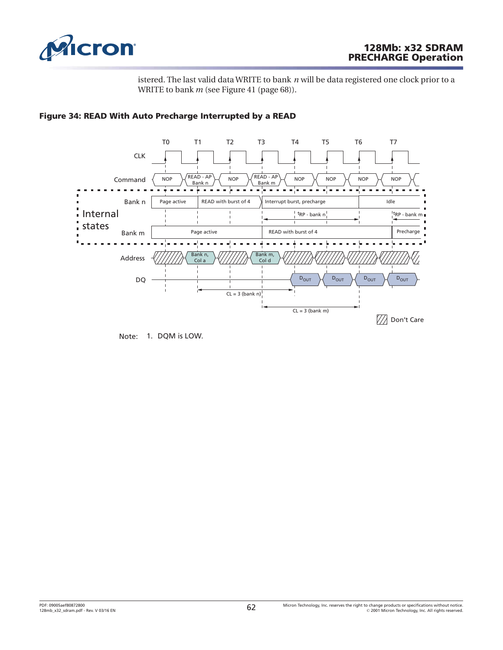<span id="page-61-0"></span>

# **128Mb: x32 SDRAM PRECHARGE Operation**

istered. The last valid data WRITE to bank *n* will be data registered one clock prior to a WRITE to bank *m* (see [Figure 41 \(page 68\)](#page-67-0)).



## **Figure 34: READ With Auto Precharge Interrupted by a READ**

Note: 1. DQM is LOW.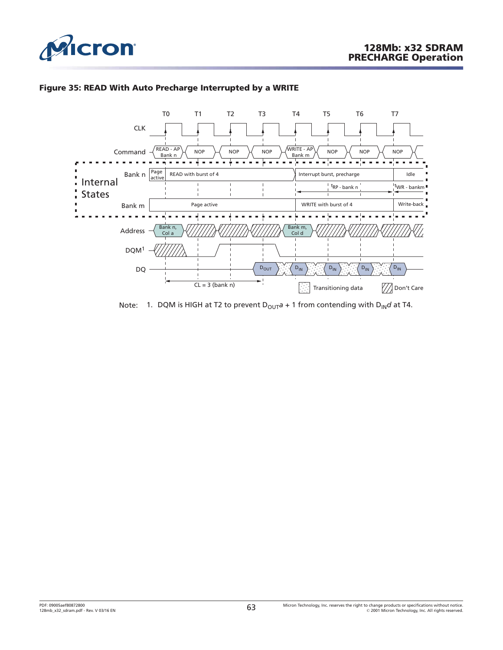<span id="page-62-0"></span>

# **Figure 35: READ With Auto Precharge Interrupted by a WRITE**



Note: 1. DQM is HIGH at T2 to prevent  $D_{OUT}a + 1$  from contending with  $D_{IN}d$  at T4.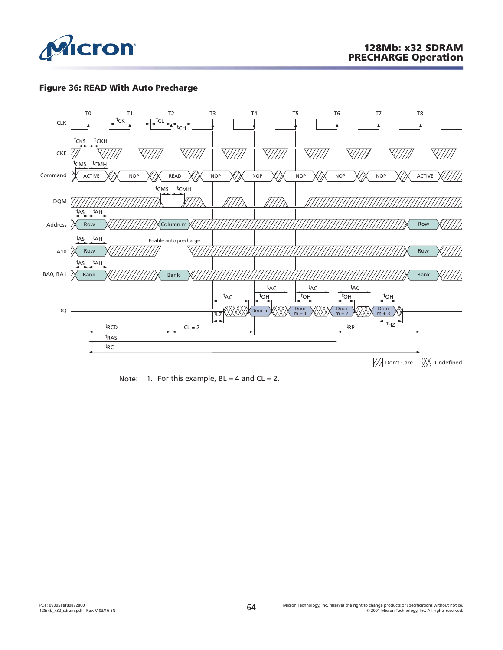

# **Figure 36: READ With Auto Precharge**



Note: 1. For this example,  $BL = 4$  and  $CL = 2$ .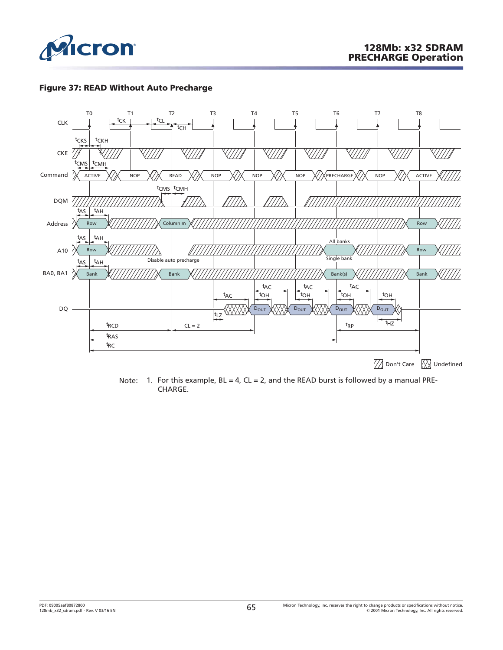

## **Figure 37: READ Without Auto Precharge**



Note: 1. For this example,  $BL = 4$ ,  $CL = 2$ , and the READ burst is followed by a manual PRE-CHARGE.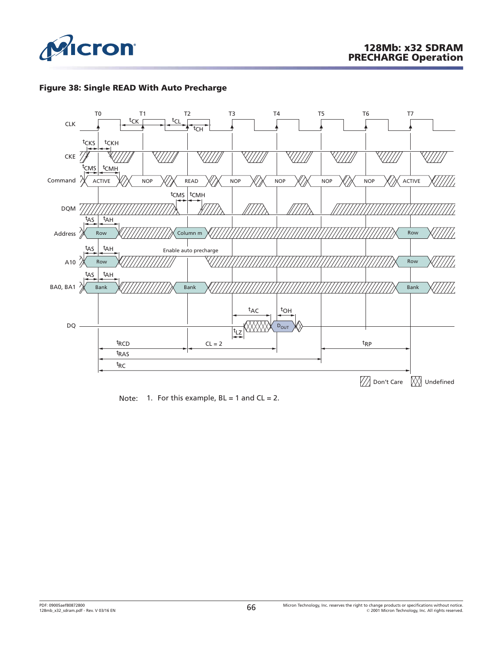





Note: 1. For this example,  $BL = 1$  and  $CL = 2$ .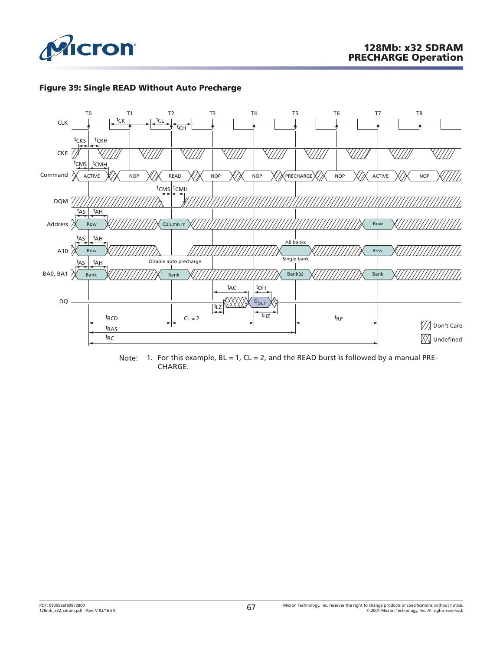





Note: 1. For this example,  $BL = 1$ ,  $CL = 2$ , and the READ burst is followed by a manual PRE-CHARGE.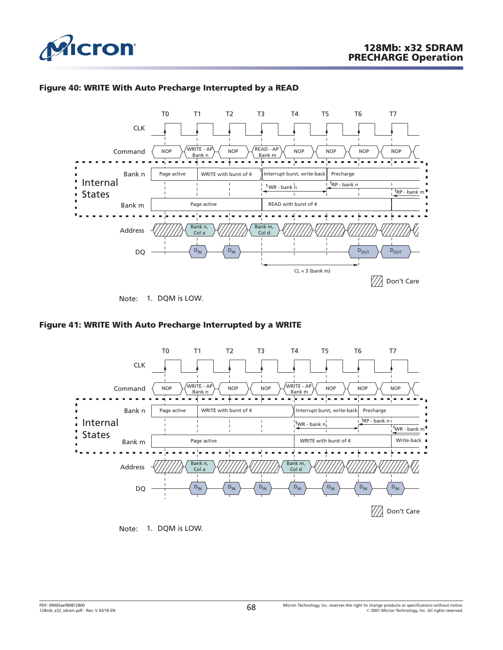

<span id="page-67-0"></span>

# **Figure 40: WRITE With Auto Precharge Interrupted by a READ**



Note: 1. DQM is LOW.

## **Figure 41: WRITE With Auto Precharge Interrupted by a WRITE**



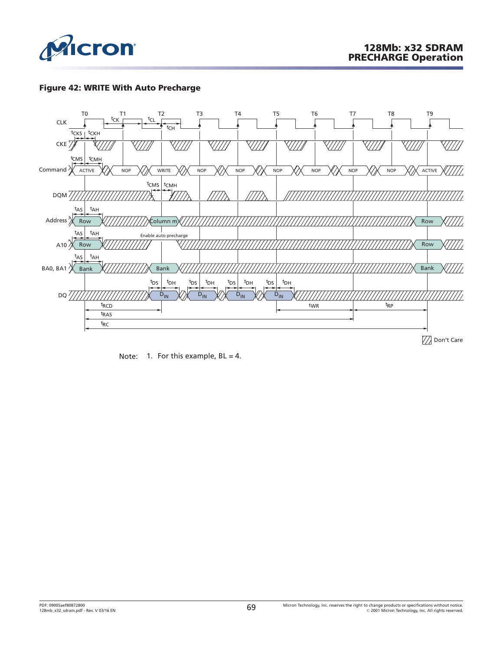

# **Figure 42: WRITE With Auto Precharge**



Note: 1. For this example,  $BL = 4$ .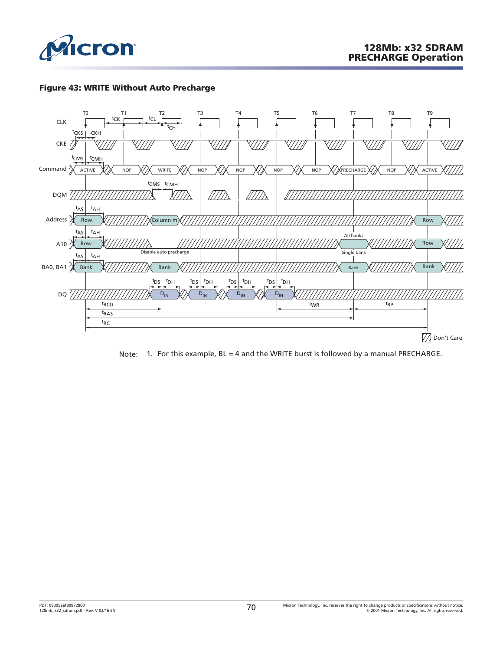

# **Figure 43: WRITE Without Auto Precharge**



Note: 1. For this example, BL = 4 and the WRITE burst is followed by a manual PRECHARGE.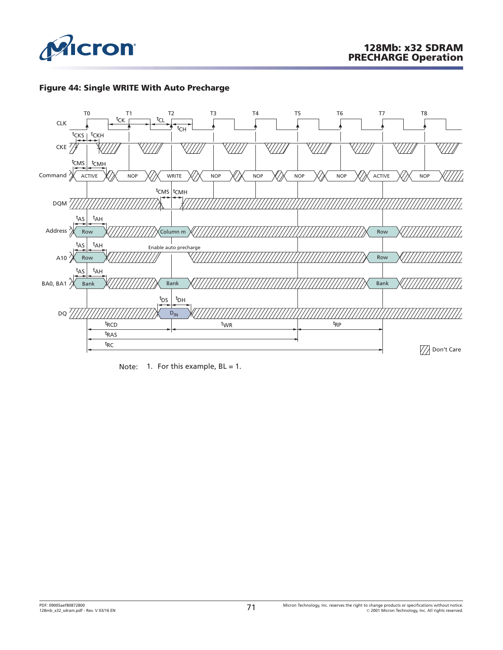

# **Figure 44: Single WRITE With Auto Precharge**



Note: 1. For this example,  $BL = 1$ .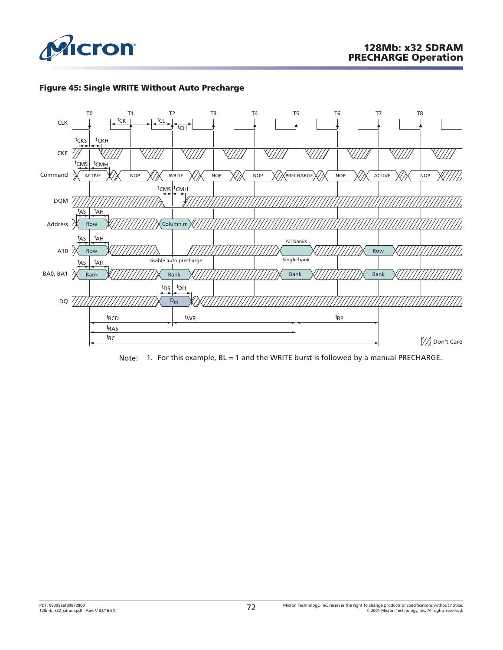





Note: 1. For this example, BL = 1 and the WRITE burst is followed by a manual PRECHARGE.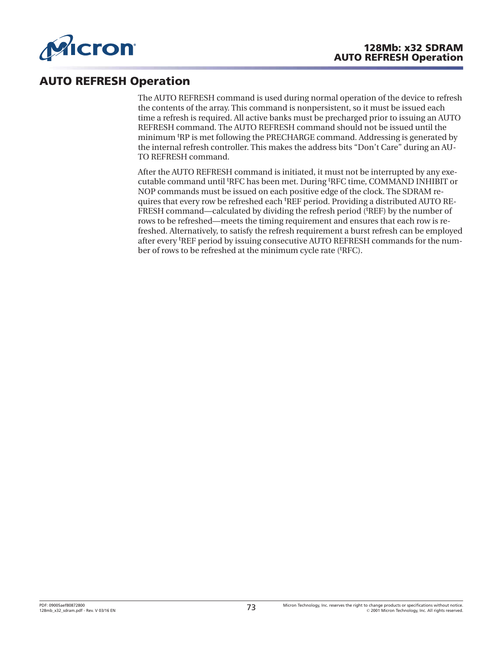

## **AUTO REFRESH Operation**

The AUTO REFRESH command is used during normal operation of the device to refresh the contents of the array. This command is nonpersistent, so it must be issued each time a refresh is required. All active banks must be precharged prior to issuing an AUTO REFRESH command. The AUTO REFRESH command should not be issued until the minimum t RP is met following the PRECHARGE command. Addressing is generated by the internal refresh controller. This makes the address bits "Don't Care" during an AU-TO REFRESH command.

After the AUTO REFRESH command is initiated, it must not be interrupted by any executable command until <sup>t</sup> RFC has been met. During <sup>t</sup> RFC time, COMMAND INHIBIT or NOP commands must be issued on each positive edge of the clock. The SDRAM requires that every row be refreshed each <sup>t</sup>REF period. Providing a distributed AUTO RE-FRESH command—calculated by dividing the refresh period ('REF) by the number of rows to be refreshed—meets the timing requirement and ensures that each row is refreshed. Alternatively, to satisfy the refresh requirement a burst refresh can be employed after every <sup>t</sup> REF period by issuing consecutive AUTO REFRESH commands for the number of rows to be refreshed at the minimum cycle rate ('RFC).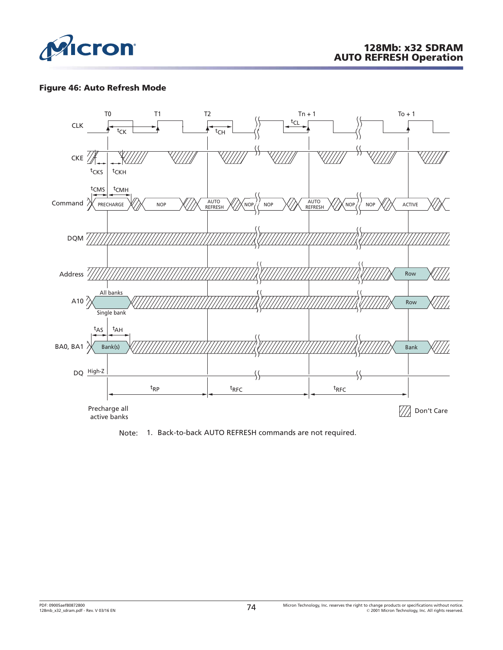

#### **Figure 46: Auto Refresh Mode**



Note: 1. Back-to-back AUTO REFRESH commands are not required.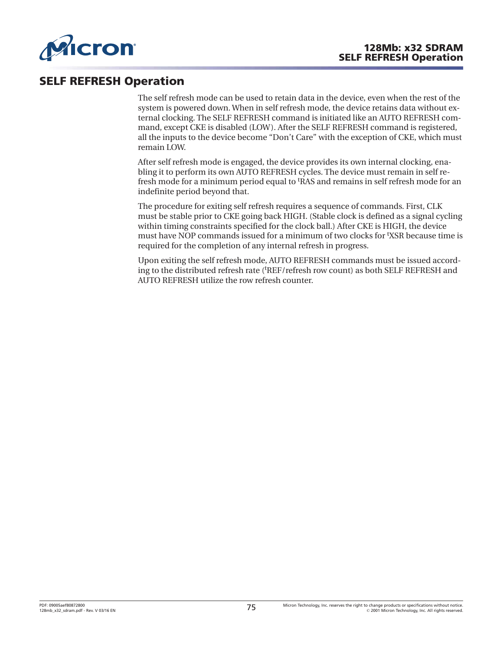

## **SELF REFRESH Operation**

The self refresh mode can be used to retain data in the device, even when the rest of the system is powered down. When in self refresh mode, the device retains data without external clocking. The SELF REFRESH command is initiated like an AUTO REFRESH command, except CKE is disabled (LOW). After the SELF REFRESH command is registered, all the inputs to the device become "Don't Care" with the exception of CKE, which must remain LOW.

After self refresh mode is engaged, the device provides its own internal clocking, enabling it to perform its own AUTO REFRESH cycles. The device must remain in self refresh mode for a minimum period equal to t RAS and remains in self refresh mode for an indefinite period beyond that.

The procedure for exiting self refresh requires a sequence of commands. First, CLK must be stable prior to CKE going back HIGH. (Stable clock is defined as a signal cycling within timing constraints specified for the clock ball.) After CKE is HIGH, the device must have NOP commands issued for a minimum of two clocks for <sup>t</sup> XSR because time is required for the completion of any internal refresh in progress.

Upon exiting the self refresh mode, AUTO REFRESH commands must be issued according to the distributed refresh rate ('REF/refresh row count) as both SELF REFRESH and AUTO REFRESH utilize the row refresh counter.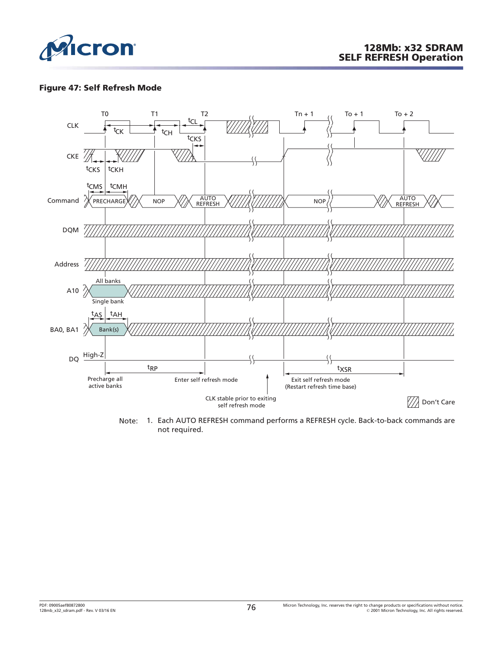

#### **Figure 47: Self Refresh Mode**



Note: 1. Each AUTO REFRESH command performs a REFRESH cycle. Back-to-back commands are not required.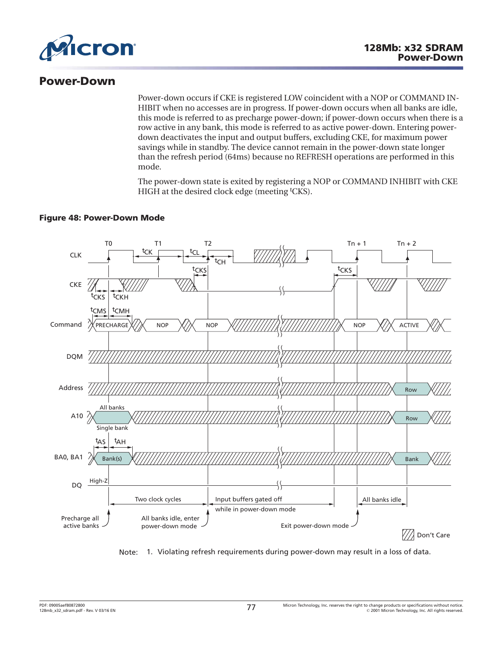

## **Power-Down**

Power-down occurs if CKE is registered LOW coincident with a NOP or COMMAND IN-HIBIT when no accesses are in progress. If power-down occurs when all banks are idle, this mode is referred to as precharge power-down; if power-down occurs when there is a row active in any bank, this mode is referred to as active power-down. Entering powerdown deactivates the input and output buffers, excluding CKE, for maximum power savings while in standby. The device cannot remain in the power-down state longer than the refresh period (64ms) because no REFRESH operations are performed in this mode.

The power-down state is exited by registering a NOP or COMMAND INHIBIT with CKE HIGH at the desired clock edge (meeting <sup>t</sup>CKS).

#### **Figure 48: Power-Down Mode**



Note: 1. Violating refresh requirements during power-down may result in a loss of data.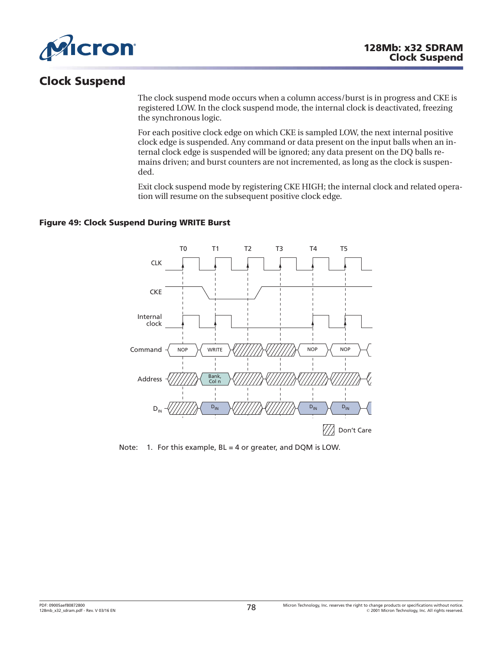

# **Clock Suspend**

The clock suspend mode occurs when a column access/burst is in progress and CKE is registered LOW. In the clock suspend mode, the internal clock is deactivated, freezing the synchronous logic.

For each positive clock edge on which CKE is sampled LOW, the next internal positive clock edge is suspended. Any command or data present on the input balls when an internal clock edge is suspended will be ignored; any data present on the DQ balls remains driven; and burst counters are not incremented, as long as the clock is suspended.

Exit clock suspend mode by registering CKE HIGH; the internal clock and related operation will resume on the subsequent positive clock edge.

#### **Figure 49: Clock Suspend During WRITE Burst**



Note: 1. For this example, BL = 4 or greater, and DQM is LOW.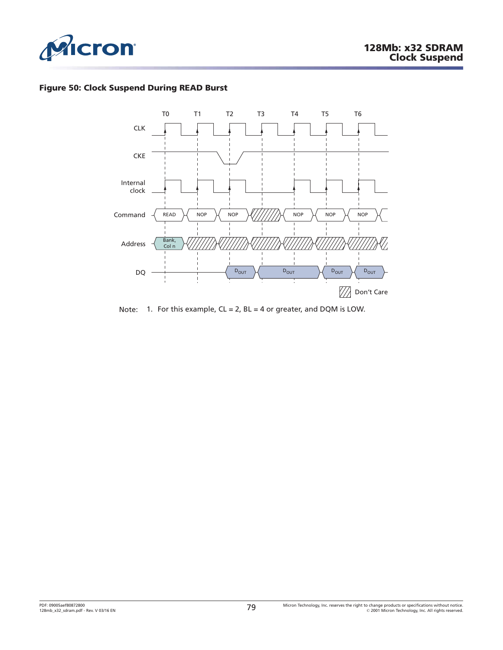

### **Figure 50: Clock Suspend During READ Burst**



Note: 1. For this example,  $CL = 2$ ,  $BL = 4$  or greater, and DQM is LOW.